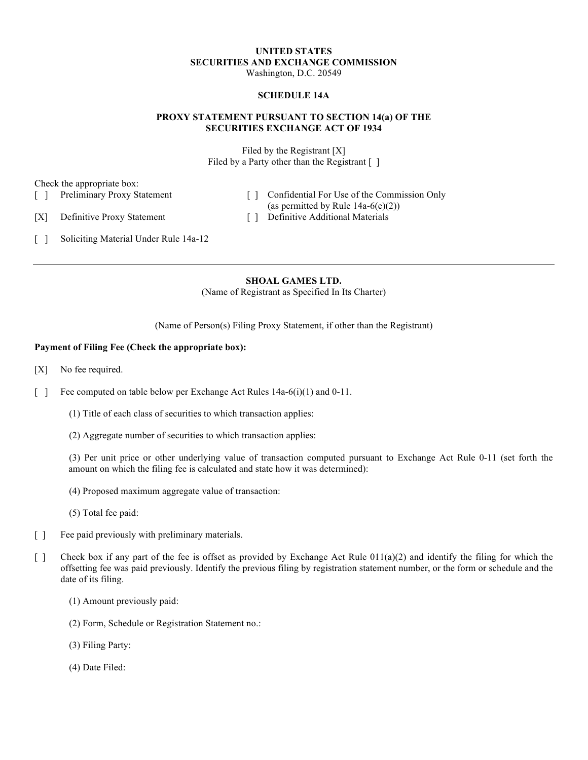#### **UNITED STATES SECURITIES AND EXCHANGE COMMISSION**  Washington, D.C. 20549

#### **SCHEDULE 14A**

## **PROXY STATEMENT PURSUANT TO SECTION 14(a) OF THE SECURITIES EXCHANGE ACT OF 1934**

Filed by the Registrant [X] Filed by a Party other than the Registrant [ ]

Check the appropriate box:

- 
- [ ] Preliminary Proxy Statement [ ] Confidential For Use of the Commission Only (as permitted by Rule  $14a-6(e)(2)$ )

[X] Definitive Proxy Statement [ ] Definitive Additional Materials

[ ] Soliciting Material Under Rule 14a-12

**SHOAL GAMES LTD.**  (Name of Registrant as Specified In Its Charter)

(Name of Person(s) Filing Proxy Statement, if other than the Registrant)

## **Payment of Filing Fee (Check the appropriate box):**

- [X] No fee required.
- [ ] Fee computed on table below per Exchange Act Rules 14a-6(i)(1) and 0-11.
	- (1) Title of each class of securities to which transaction applies:
	- (2) Aggregate number of securities to which transaction applies:

(3) Per unit price or other underlying value of transaction computed pursuant to Exchange Act Rule 0-11 (set forth the amount on which the filing fee is calculated and state how it was determined):

- (4) Proposed maximum aggregate value of transaction:
- (5) Total fee paid:
- [ ] Fee paid previously with preliminary materials.
- [ ] Check box if any part of the fee is offset as provided by Exchange Act Rule  $011(a)(2)$  and identify the filing for which the offsetting fee was paid previously. Identify the previous filing by registration statement number, or the form or schedule and the date of its filing.
	- (1) Amount previously paid:
	- (2) Form, Schedule or Registration Statement no.:
	- (3) Filing Party:
	- (4) Date Filed: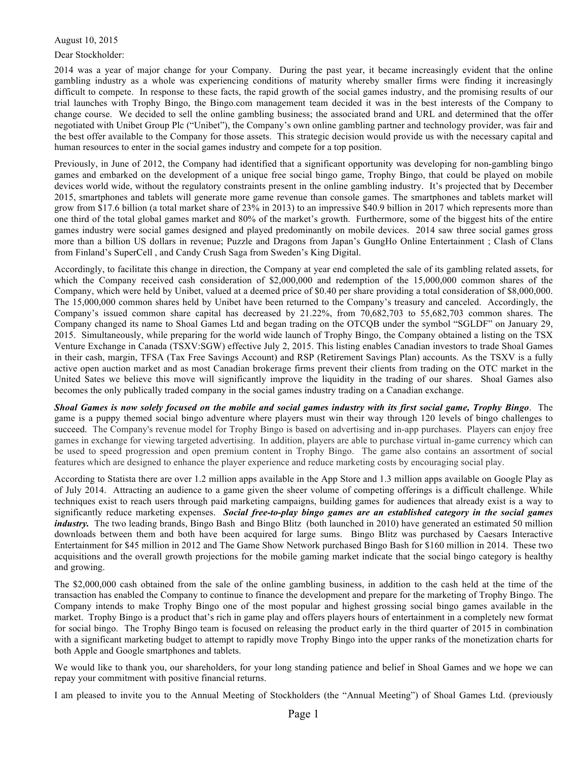#### August 10, 2015

Dear Stockholder:

2014 was a year of major change for your Company. During the past year, it became increasingly evident that the online gambling industry as a whole was experiencing conditions of maturity whereby smaller firms were finding it increasingly difficult to compete. In response to these facts, the rapid growth of the social games industry, and the promising results of our trial launches with Trophy Bingo, the Bingo.com management team decided it was in the best interests of the Company to change course. We decided to sell the online gambling business; the associated brand and URL and determined that the offer negotiated with Unibet Group Plc ("Unibet"), the Company's own online gambling partner and technology provider, was fair and the best offer available to the Company for those assets. This strategic decision would provide us with the necessary capital and human resources to enter in the social games industry and compete for a top position.

Previously, in June of 2012, the Company had identified that a significant opportunity was developing for non-gambling bingo games and embarked on the development of a unique free social bingo game, Trophy Bingo, that could be played on mobile devices world wide, without the regulatory constraints present in the online gambling industry. It's projected that by December 2015, smartphones and tablets will generate more game revenue than console games. The smartphones and tablets market will grow from \$17.6 billion (a total market share of 23% in 2013) to an impressive \$40.9 billion in 2017 which represents more than one third of the total global games market and 80% of the market's growth. Furthermore, some of the biggest hits of the entire games industry were social games designed and played predominantly on mobile devices. 2014 saw three social games gross more than a billion US dollars in revenue; Puzzle and Dragons from Japan's GungHo Online Entertainment ; Clash of Clans from Finland's SuperCell , and Candy Crush Saga from Sweden's King Digital.

Accordingly, to facilitate this change in direction, the Company at year end completed the sale of its gambling related assets, for which the Company received cash consideration of \$2,000,000 and redemption of the 15,000,000 common shares of the Company, which were held by Unibet, valued at a deemed price of \$0.40 per share providing a total consideration of \$8,000,000. The 15,000,000 common shares held by Unibet have been returned to the Company's treasury and canceled. Accordingly, the Company's issued common share capital has decreased by 21.22%, from 70,682,703 to 55,682,703 common shares. The Company changed its name to Shoal Games Ltd and began trading on the OTCQB under the symbol "SGLDF" on January 29, 2015. Simultaneously, while preparing for the world wide launch of Trophy Bingo, the Company obtained a listing on the TSX Venture Exchange in Canada (TSXV:SGW) effective July 2, 2015. This listing enables Canadian investors to trade Shoal Games in their cash, margin, TFSA (Tax Free Savings Account) and RSP (Retirement Savings Plan) accounts. As the TSXV is a fully active open auction market and as most Canadian brokerage firms prevent their clients from trading on the OTC market in the United Sates we believe this move will significantly improve the liquidity in the trading of our shares. Shoal Games also becomes the only publically traded company in the social games industry trading on a Canadian exchange.

*Shoal Games is now solely focused on the mobile and social games industry with its first social game, Trophy Bingo*. The game is a puppy themed social bingo adventure where players must win their way through 120 levels of bingo challenges to succeed. The Company's revenue model for Trophy Bingo is based on advertising and in-app purchases. Players can enjoy free games in exchange for viewing targeted advertising. In addition, players are able to purchase virtual in-game currency which can be used to speed progression and open premium content in Trophy Bingo. The game also contains an assortment of social features which are designed to enhance the player experience and reduce marketing costs by encouraging social play.

According to Statista there are over 1.2 million apps available in the App Store and 1.3 million apps available on Google Play as of July 2014. Attracting an audience to a game given the sheer volume of competing offerings is a difficult challenge. While techniques exist to reach users through paid marketing campaigns, building games for audiences that already exist is a way to significantly reduce marketing expenses. *Social free-to-play bingo games are an established category in the social games industry*. The two leading brands, Bingo Bash and Bingo Blitz (both launched in 2010) have generated an estimated 50 million downloads between them and both have been acquired for large sums. Bingo Blitz was purchased by Caesars Interactive Entertainment for \$45 million in 2012 and The Game Show Network purchased Bingo Bash for \$160 million in 2014. These two acquisitions and the overall growth projections for the mobile gaming market indicate that the social bingo category is healthy and growing.

The \$2,000,000 cash obtained from the sale of the online gambling business, in addition to the cash held at the time of the transaction has enabled the Company to continue to finance the development and prepare for the marketing of Trophy Bingo. The Company intends to make Trophy Bingo one of the most popular and highest grossing social bingo games available in the market. Trophy Bingo is a product that's rich in game play and offers players hours of entertainment in a completely new format for social bingo. The Trophy Bingo team is focused on releasing the product early in the third quarter of 2015 in combination with a significant marketing budget to attempt to rapidly move Trophy Bingo into the upper ranks of the monetization charts for both Apple and Google smartphones and tablets.

We would like to thank you, our shareholders, for your long standing patience and belief in Shoal Games and we hope we can repay your commitment with positive financial returns.

I am pleased to invite you to the Annual Meeting of Stockholders (the "Annual Meeting") of Shoal Games Ltd. (previously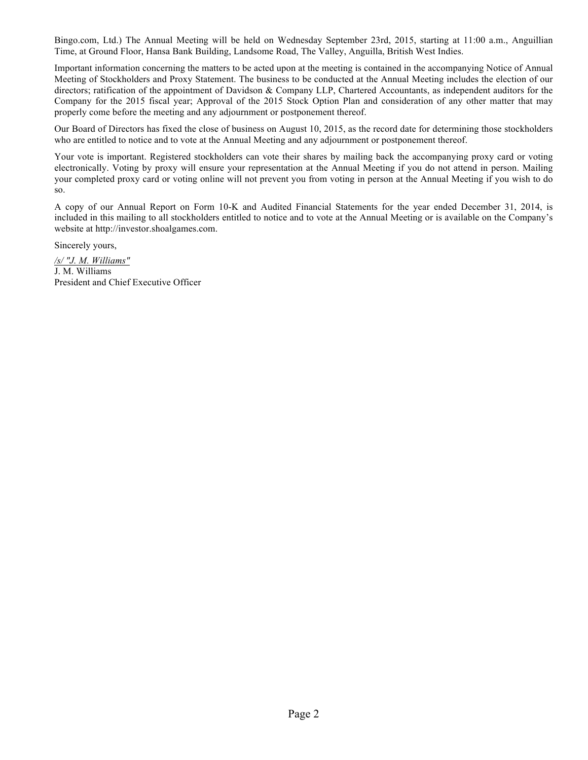Bingo.com, Ltd.) The Annual Meeting will be held on Wednesday September 23rd, 2015, starting at 11:00 a.m., Anguillian Time, at Ground Floor, Hansa Bank Building, Landsome Road, The Valley, Anguilla, British West Indies.

Important information concerning the matters to be acted upon at the meeting is contained in the accompanying Notice of Annual Meeting of Stockholders and Proxy Statement. The business to be conducted at the Annual Meeting includes the election of our directors; ratification of the appointment of Davidson & Company LLP, Chartered Accountants, as independent auditors for the Company for the 2015 fiscal year; Approval of the 2015 Stock Option Plan and consideration of any other matter that may properly come before the meeting and any adjournment or postponement thereof.

Our Board of Directors has fixed the close of business on August 10, 2015, as the record date for determining those stockholders who are entitled to notice and to vote at the Annual Meeting and any adjournment or postponement thereof.

Your vote is important. Registered stockholders can vote their shares by mailing back the accompanying proxy card or voting electronically. Voting by proxy will ensure your representation at the Annual Meeting if you do not attend in person. Mailing your completed proxy card or voting online will not prevent you from voting in person at the Annual Meeting if you wish to do so.

A copy of our Annual Report on Form 10-K and Audited Financial Statements for the year ended December 31, 2014, is included in this mailing to all stockholders entitled to notice and to vote at the Annual Meeting or is available on the Company's website at http://investor.shoalgames.com.

Sincerely yours,

*/s/ "J. M. Williams"* J. M. Williams President and Chief Executive Officer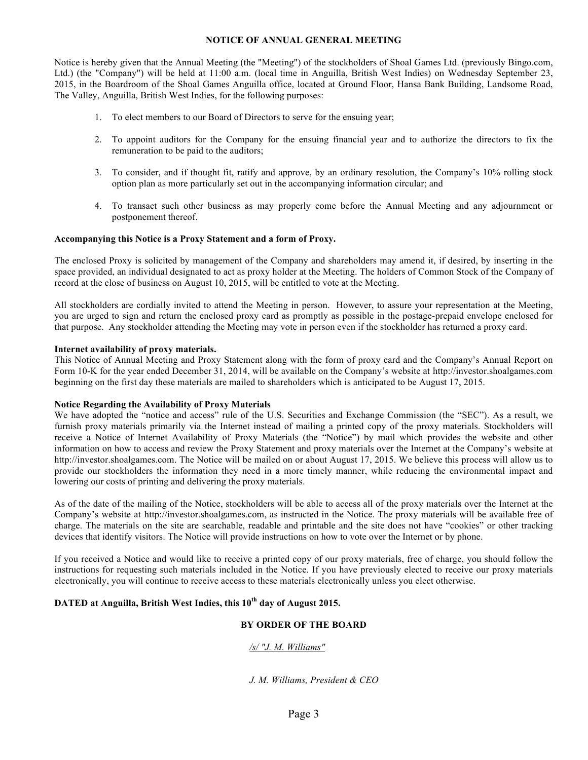## **NOTICE OF ANNUAL GENERAL MEETING**

Notice is hereby given that the Annual Meeting (the "Meeting") of the stockholders of Shoal Games Ltd. (previously Bingo.com, Ltd.) (the "Company") will be held at 11:00 a.m. (local time in Anguilla, British West Indies) on Wednesday September 23, 2015, in the Boardroom of the Shoal Games Anguilla office, located at Ground Floor, Hansa Bank Building, Landsome Road, The Valley, Anguilla, British West Indies, for the following purposes:

- 1. To elect members to our Board of Directors to serve for the ensuing year;
- 2. To appoint auditors for the Company for the ensuing financial year and to authorize the directors to fix the remuneration to be paid to the auditors;
- 3. To consider, and if thought fit, ratify and approve, by an ordinary resolution, the Company's 10% rolling stock option plan as more particularly set out in the accompanying information circular; and
- 4. To transact such other business as may properly come before the Annual Meeting and any adjournment or postponement thereof.

#### **Accompanying this Notice is a Proxy Statement and a form of Proxy.**

The enclosed Proxy is solicited by management of the Company and shareholders may amend it, if desired, by inserting in the space provided, an individual designated to act as proxy holder at the Meeting. The holders of Common Stock of the Company of record at the close of business on August 10, 2015, will be entitled to vote at the Meeting.

All stockholders are cordially invited to attend the Meeting in person. However, to assure your representation at the Meeting, you are urged to sign and return the enclosed proxy card as promptly as possible in the postage-prepaid envelope enclosed for that purpose. Any stockholder attending the Meeting may vote in person even if the stockholder has returned a proxy card.

## **Internet availability of proxy materials.**

This Notice of Annual Meeting and Proxy Statement along with the form of proxy card and the Company's Annual Report on Form 10-K for the year ended December 31, 2014, will be available on the Company's website at http://investor.shoalgames.com beginning on the first day these materials are mailed to shareholders which is anticipated to be August 17, 2015.

#### **Notice Regarding the Availability of Proxy Materials**

We have adopted the "notice and access" rule of the U.S. Securities and Exchange Commission (the "SEC"). As a result, we furnish proxy materials primarily via the Internet instead of mailing a printed copy of the proxy materials. Stockholders will receive a Notice of Internet Availability of Proxy Materials (the "Notice") by mail which provides the website and other information on how to access and review the Proxy Statement and proxy materials over the Internet at the Company's website at http://investor.shoalgames.com. The Notice will be mailed on or about August 17, 2015. We believe this process will allow us to provide our stockholders the information they need in a more timely manner, while reducing the environmental impact and lowering our costs of printing and delivering the proxy materials.

As of the date of the mailing of the Notice, stockholders will be able to access all of the proxy materials over the Internet at the Company's website at http://investor.shoalgames.com, as instructed in the Notice. The proxy materials will be available free of charge. The materials on the site are searchable, readable and printable and the site does not have "cookies" or other tracking devices that identify visitors. The Notice will provide instructions on how to vote over the Internet or by phone.

If you received a Notice and would like to receive a printed copy of our proxy materials, free of charge, you should follow the instructions for requesting such materials included in the Notice. If you have previously elected to receive our proxy materials electronically, you will continue to receive access to these materials electronically unless you elect otherwise.

# **DATED at Anguilla, British West Indies, this 10th day of August 2015.**

## **BY ORDER OF THE BOARD**

## */s/ "J. M. Williams"*

*J. M. Williams, President & CEO*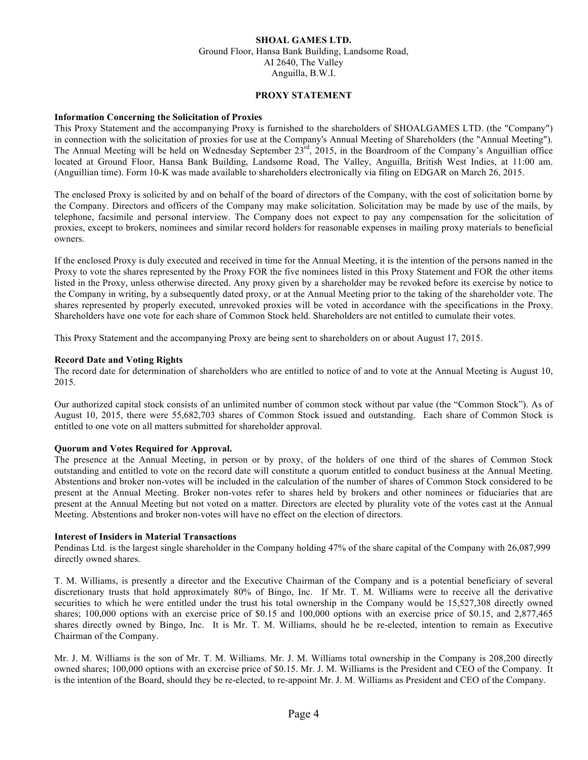# **SHOAL GAMES LTD.**

Ground Floor, Hansa Bank Building, Landsome Road, AI 2640, The Valley Anguilla, B.W.I.

#### **PROXY STATEMENT**

#### **Information Concerning the Solicitation of Proxies**

This Proxy Statement and the accompanying Proxy is furnished to the shareholders of SHOALGAMES LTD. (the "Company") in connection with the solicitation of proxies for use at the Company's Annual Meeting of Shareholders (the "Annual Meeting"). The Annual Meeting will be held on Wednesday September 23<sup>rd</sup>, 2015, in the Boardroom of the Company's Anguillian office located at Ground Floor, Hansa Bank Building, Landsome Road, The Valley, Anguilla, British West Indies, at 11:00 am. (Anguillian time). Form 10-K was made available to shareholders electronically via filing on EDGAR on March 26, 2015.

The enclosed Proxy is solicited by and on behalf of the board of directors of the Company, with the cost of solicitation borne by the Company. Directors and officers of the Company may make solicitation. Solicitation may be made by use of the mails, by telephone, facsimile and personal interview. The Company does not expect to pay any compensation for the solicitation of proxies, except to brokers, nominees and similar record holders for reasonable expenses in mailing proxy materials to beneficial owners.

If the enclosed Proxy is duly executed and received in time for the Annual Meeting, it is the intention of the persons named in the Proxy to vote the shares represented by the Proxy FOR the five nominees listed in this Proxy Statement and FOR the other items listed in the Proxy, unless otherwise directed. Any proxy given by a shareholder may be revoked before its exercise by notice to the Company in writing, by a subsequently dated proxy, or at the Annual Meeting prior to the taking of the shareholder vote. The shares represented by properly executed, unrevoked proxies will be voted in accordance with the specifications in the Proxy. Shareholders have one vote for each share of Common Stock held. Shareholders are not entitled to cumulate their votes.

This Proxy Statement and the accompanying Proxy are being sent to shareholders on or about August 17, 2015.

#### **Record Date and Voting Rights**

The record date for determination of shareholders who are entitled to notice of and to vote at the Annual Meeting is August 10, 2015.

Our authorized capital stock consists of an unlimited number of common stock without par value (the "Common Stock"). As of August 10, 2015, there were 55,682,703 shares of Common Stock issued and outstanding. Each share of Common Stock is entitled to one vote on all matters submitted for shareholder approval.

## **Quorum and Votes Required for Approval.**

The presence at the Annual Meeting, in person or by proxy, of the holders of one third of the shares of Common Stock outstanding and entitled to vote on the record date will constitute a quorum entitled to conduct business at the Annual Meeting. Abstentions and broker non-votes will be included in the calculation of the number of shares of Common Stock considered to be present at the Annual Meeting. Broker non-votes refer to shares held by brokers and other nominees or fiduciaries that are present at the Annual Meeting but not voted on a matter. Directors are elected by plurality vote of the votes cast at the Annual Meeting. Abstentions and broker non-votes will have no effect on the election of directors.

#### **Interest of Insiders in Material Transactions**

Pendinas Ltd. is the largest single shareholder in the Company holding 47% of the share capital of the Company with 26,087,999 directly owned shares.

T. M. Williams, is presently a director and the Executive Chairman of the Company and is a potential beneficiary of several discretionary trusts that hold approximately 80% of Bingo, Inc. If Mr. T. M. Williams were to receive all the derivative securities to which he were entitled under the trust his total ownership in the Company would be 15,527,308 directly owned shares; 100,000 options with an exercise price of \$0.15 and 100,000 options with an exercise price of \$0.15, and 2,877,465 shares directly owned by Bingo, Inc. It is Mr. T. M. Williams, should he be re-elected, intention to remain as Executive Chairman of the Company.

Mr. J. M. Williams is the son of Mr. T. M. Williams. Mr. J. M. Williams total ownership in the Company is 208,200 directly owned shares; 100,000 options with an exercise price of \$0.15. Mr. J. M. Williams is the President and CEO of the Company. It is the intention of the Board, should they be re-elected, to re-appoint Mr. J. M. Williams as President and CEO of the Company.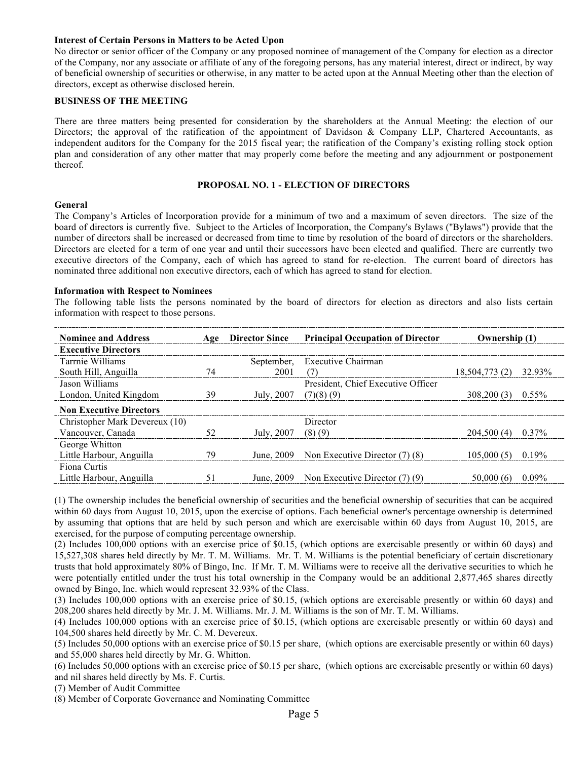#### **Interest of Certain Persons in Matters to be Acted Upon**

No director or senior officer of the Company or any proposed nominee of management of the Company for election as a director of the Company, nor any associate or affiliate of any of the foregoing persons, has any material interest, direct or indirect, by way of beneficial ownership of securities or otherwise, in any matter to be acted upon at the Annual Meeting other than the election of directors, except as otherwise disclosed herein.

#### **BUSINESS OF THE MEETING**

There are three matters being presented for consideration by the shareholders at the Annual Meeting: the election of our Directors; the approval of the ratification of the appointment of Davidson & Company LLP, Chartered Accountants, as independent auditors for the Company for the 2015 fiscal year; the ratification of the Company's existing rolling stock option plan and consideration of any other matter that may properly come before the meeting and any adjournment or postponement thereof.

#### **PROPOSAL NO. 1 - ELECTION OF DIRECTORS**

#### **General**

The Company's Articles of Incorporation provide for a minimum of two and a maximum of seven directors. The size of the board of directors is currently five. Subject to the Articles of Incorporation, the Company's Bylaws ("Bylaws") provide that the number of directors shall be increased or decreased from time to time by resolution of the board of directors or the shareholders. Directors are elected for a term of one year and until their successors have been elected and qualified. There are currently two executive directors of the Company, each of which has agreed to stand for re-election. The current board of directors has nominated three additional non executive directors, each of which has agreed to stand for election.

#### **Information with Respect to Nominees**

The following table lists the persons nominated by the board of directors for election as directors and also lists certain information with respect to those persons.

| <b>Nominee and Address</b>     |    | <b>Director Since</b>  | <b>Principal Occupation of Director</b><br>Ownership (1) |                       |          |
|--------------------------------|----|------------------------|----------------------------------------------------------|-----------------------|----------|
| <b>Executive Directors</b>     |    |                        |                                                          |                       |          |
| Tarrnie Williams               |    |                        | September, Executive Chairman                            |                       |          |
| South Hill, Anguilla           | 74 | 2001                   | (7)                                                      | 18,504,773 (2) 32.93% |          |
| Jason Williams                 |    |                        | President, Chief Executive Officer                       |                       |          |
| London, United Kingdom         | 39 | July, 2007 $(7)(8)(9)$ |                                                          | 308,200(3)            | $0.55\%$ |
| <b>Non Executive Directors</b> |    |                        |                                                          |                       |          |
| Christopher Mark Devereux (10) |    |                        | Director                                                 |                       |          |
| Vancouver, Canada              | 52 | July, $2007$ (8) (9)   |                                                          | $204,500(4)$ 0.37%    |          |
| George Whitton                 |    |                        |                                                          |                       |          |
| Little Harbour, Anguilla       | 79 |                        | June, 2009 Non Executive Director (7) (8)                | 105,000(5)            | 0.19%    |
| Fiona Curtis                   |    |                        |                                                          |                       |          |
| Little Harbour, Anguilla       |    |                        | June, $2009$ Non Executive Director (7) (9)              | 50,000 (6)            | 0.09%    |

(1) The ownership includes the beneficial ownership of securities and the beneficial ownership of securities that can be acquired within 60 days from August 10, 2015, upon the exercise of options. Each beneficial owner's percentage ownership is determined by assuming that options that are held by such person and which are exercisable within 60 days from August 10, 2015, are exercised, for the purpose of computing percentage ownership.

(2) Includes 100,000 options with an exercise price of \$0.15, (which options are exercisable presently or within 60 days) and 15,527,308 shares held directly by Mr. T. M. Williams. Mr. T. M. Williams is the potential beneficiary of certain discretionary trusts that hold approximately 80% of Bingo, Inc. If Mr. T. M. Williams were to receive all the derivative securities to which he were potentially entitled under the trust his total ownership in the Company would be an additional 2,877,465 shares directly owned by Bingo, Inc. which would represent 32.93% of the Class.

(3) Includes 100,000 options with an exercise price of \$0.15, (which options are exercisable presently or within 60 days) and 208,200 shares held directly by Mr. J. M. Williams. Mr. J. M. Williams is the son of Mr. T. M. Williams.

(4) Includes 100,000 options with an exercise price of \$0.15, (which options are exercisable presently or within 60 days) and 104,500 shares held directly by Mr. C. M. Devereux.

(5) Includes 50,000 options with an exercise price of \$0.15 per share, (which options are exercisable presently or within 60 days) and 55,000 shares held directly by Mr. G. Whitton.

(6) Includes 50,000 options with an exercise price of \$0.15 per share, (which options are exercisable presently or within 60 days) and nil shares held directly by Ms. F. Curtis.

(7) Member of Audit Committee

(8) Member of Corporate Governance and Nominating Committee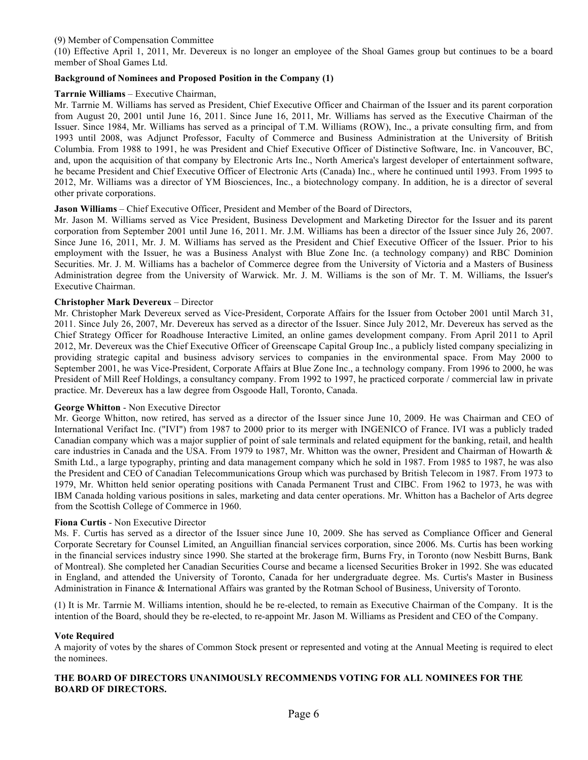## (9) Member of Compensation Committee

(10) Effective April 1, 2011, Mr. Devereux is no longer an employee of the Shoal Games group but continues to be a board member of Shoal Games Ltd.

## **Background of Nominees and Proposed Position in the Company (1)**

#### **Tarrnie Williams** – Executive Chairman,

Mr. Tarrnie M. Williams has served as President, Chief Executive Officer and Chairman of the Issuer and its parent corporation from August 20, 2001 until June 16, 2011. Since June 16, 2011, Mr. Williams has served as the Executive Chairman of the Issuer. Since 1984, Mr. Williams has served as a principal of T.M. Williams (ROW), Inc., a private consulting firm, and from 1993 until 2008, was Adjunct Professor, Faculty of Commerce and Business Administration at the University of British Columbia. From 1988 to 1991, he was President and Chief Executive Officer of Distinctive Software, Inc. in Vancouver, BC, and, upon the acquisition of that company by Electronic Arts Inc., North America's largest developer of entertainment software, he became President and Chief Executive Officer of Electronic Arts (Canada) Inc., where he continued until 1993. From 1995 to 2012, Mr. Williams was a director of YM Biosciences, Inc., a biotechnology company. In addition, he is a director of several other private corporations.

## **Jason Williams** – Chief Executive Officer, President and Member of the Board of Directors,

Mr. Jason M. Williams served as Vice President, Business Development and Marketing Director for the Issuer and its parent corporation from September 2001 until June 16, 2011. Mr. J.M. Williams has been a director of the Issuer since July 26, 2007. Since June 16, 2011, Mr. J. M. Williams has served as the President and Chief Executive Officer of the Issuer. Prior to his employment with the Issuer, he was a Business Analyst with Blue Zone Inc. (a technology company) and RBC Dominion Securities. Mr. J. M. Williams has a bachelor of Commerce degree from the University of Victoria and a Masters of Business Administration degree from the University of Warwick. Mr. J. M. Williams is the son of Mr. T. M. Williams, the Issuer's Executive Chairman.

#### **Christopher Mark Devereux** – Director

Mr. Christopher Mark Devereux served as Vice-President, Corporate Affairs for the Issuer from October 2001 until March 31, 2011. Since July 26, 2007, Mr. Devereux has served as a director of the Issuer. Since July 2012, Mr. Devereux has served as the Chief Strategy Officer for Roadhouse Interactive Limited, an online games development company. From April 2011 to April 2012, Mr. Devereux was the Chief Executive Officer of Greenscape Capital Group Inc., a publicly listed company specializing in providing strategic capital and business advisory services to companies in the environmental space. From May 2000 to September 2001, he was Vice-President, Corporate Affairs at Blue Zone Inc., a technology company. From 1996 to 2000, he was President of Mill Reef Holdings, a consultancy company. From 1992 to 1997, he practiced corporate / commercial law in private practice. Mr. Devereux has a law degree from Osgoode Hall, Toronto, Canada.

#### **George Whitton** - Non Executive Director

Mr. George Whitton, now retired, has served as a director of the Issuer since June 10, 2009. He was Chairman and CEO of International Verifact Inc. ("IVI") from 1987 to 2000 prior to its merger with INGENICO of France. IVI was a publicly traded Canadian company which was a major supplier of point of sale terminals and related equipment for the banking, retail, and health care industries in Canada and the USA. From 1979 to 1987, Mr. Whitton was the owner, President and Chairman of Howarth & Smith Ltd., a large typography, printing and data management company which he sold in 1987. From 1985 to 1987, he was also the President and CEO of Canadian Telecommunications Group which was purchased by British Telecom in 1987. From 1973 to 1979, Mr. Whitton held senior operating positions with Canada Permanent Trust and CIBC. From 1962 to 1973, he was with IBM Canada holding various positions in sales, marketing and data center operations. Mr. Whitton has a Bachelor of Arts degree from the Scottish College of Commerce in 1960.

#### **Fiona Curtis** - Non Executive Director

Ms. F. Curtis has served as a director of the Issuer since June 10, 2009. She has served as Compliance Officer and General Corporate Secretary for Counsel Limited, an Anguillian financial services corporation, since 2006. Ms. Curtis has been working in the financial services industry since 1990. She started at the brokerage firm, Burns Fry, in Toronto (now Nesbitt Burns, Bank of Montreal). She completed her Canadian Securities Course and became a licensed Securities Broker in 1992. She was educated in England, and attended the University of Toronto, Canada for her undergraduate degree. Ms. Curtis's Master in Business Administration in Finance & International Affairs was granted by the Rotman School of Business, University of Toronto.

(1) It is Mr. Tarrnie M. Williams intention, should he be re-elected, to remain as Executive Chairman of the Company. It is the intention of the Board, should they be re-elected, to re-appoint Mr. Jason M. Williams as President and CEO of the Company.

#### **Vote Required**

A majority of votes by the shares of Common Stock present or represented and voting at the Annual Meeting is required to elect the nominees.

#### **THE BOARD OF DIRECTORS UNANIMOUSLY RECOMMENDS VOTING FOR ALL NOMINEES FOR THE BOARD OF DIRECTORS.**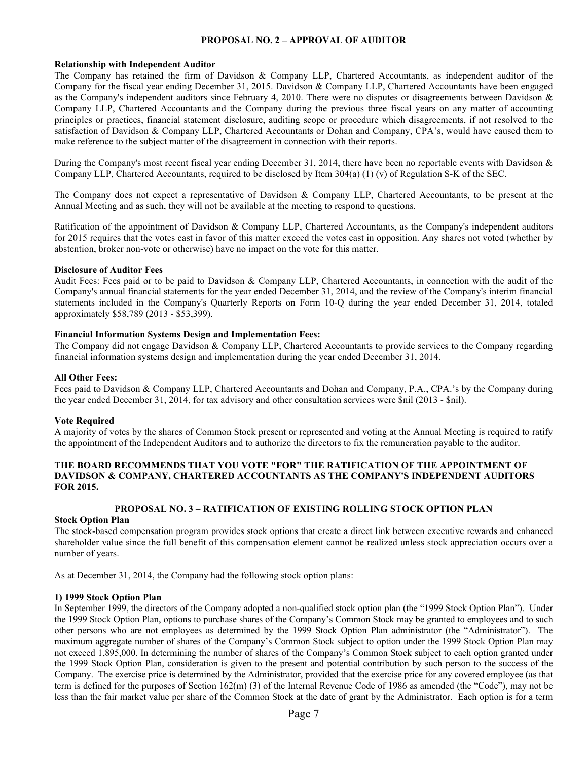# **PROPOSAL NO. 2** *–* **APPROVAL OF AUDITOR**

#### **Relationship with Independent Auditor**

The Company has retained the firm of Davidson & Company LLP, Chartered Accountants, as independent auditor of the Company for the fiscal year ending December 31, 2015. Davidson & Company LLP, Chartered Accountants have been engaged as the Company's independent auditors since February 4, 2010. There were no disputes or disagreements between Davidson  $\&$ Company LLP, Chartered Accountants and the Company during the previous three fiscal years on any matter of accounting principles or practices, financial statement disclosure, auditing scope or procedure which disagreements, if not resolved to the satisfaction of Davidson & Company LLP, Chartered Accountants or Dohan and Company, CPA's, would have caused them to make reference to the subject matter of the disagreement in connection with their reports.

During the Company's most recent fiscal year ending December 31, 2014, there have been no reportable events with Davidson  $\&$ Company LLP, Chartered Accountants, required to be disclosed by Item 304(a) (1) (v) of Regulation S-K of the SEC.

The Company does not expect a representative of Davidson & Company LLP, Chartered Accountants, to be present at the Annual Meeting and as such, they will not be available at the meeting to respond to questions.

Ratification of the appointment of Davidson & Company LLP, Chartered Accountants, as the Company's independent auditors for 2015 requires that the votes cast in favor of this matter exceed the votes cast in opposition. Any shares not voted (whether by abstention, broker non-vote or otherwise) have no impact on the vote for this matter.

#### **Disclosure of Auditor Fees**

Audit Fees: Fees paid or to be paid to Davidson & Company LLP, Chartered Accountants, in connection with the audit of the Company's annual financial statements for the year ended December 31, 2014, and the review of the Company's interim financial statements included in the Company's Quarterly Reports on Form 10-Q during the year ended December 31, 2014, totaled approximately \$58,789 (2013 - \$53,399).

#### **Financial Information Systems Design and Implementation Fees:**

The Company did not engage Davidson & Company LLP, Chartered Accountants to provide services to the Company regarding financial information systems design and implementation during the year ended December 31, 2014.

#### **All Other Fees:**

Fees paid to Davidson & Company LLP, Chartered Accountants and Dohan and Company, P.A., CPA.'s by the Company during the year ended December 31, 2014, for tax advisory and other consultation services were \$nil (2013 - \$nil).

## **Vote Required**

A majority of votes by the shares of Common Stock present or represented and voting at the Annual Meeting is required to ratify the appointment of the Independent Auditors and to authorize the directors to fix the remuneration payable to the auditor.

## **THE BOARD RECOMMENDS THAT YOU VOTE "FOR" THE RATIFICATION OF THE APPOINTMENT OF DAVIDSON & COMPANY, CHARTERED ACCOUNTANTS AS THE COMPANY'S INDEPENDENT AUDITORS FOR 2015.**

## **PROPOSAL NO. 3** *–* **RATIFICATION OF EXISTING ROLLING STOCK OPTION PLAN**

#### **Stock Option Plan**

The stock-based compensation program provides stock options that create a direct link between executive rewards and enhanced shareholder value since the full benefit of this compensation element cannot be realized unless stock appreciation occurs over a number of years.

As at December 31, 2014, the Company had the following stock option plans:

#### **1) 1999 Stock Option Plan**

In September 1999, the directors of the Company adopted a non-qualified stock option plan (the "1999 Stock Option Plan"). Under the 1999 Stock Option Plan, options to purchase shares of the Company's Common Stock may be granted to employees and to such other persons who are not employees as determined by the 1999 Stock Option Plan administrator (the "Administrator"). The maximum aggregate number of shares of the Company's Common Stock subject to option under the 1999 Stock Option Plan may not exceed 1,895,000. In determining the number of shares of the Company's Common Stock subject to each option granted under the 1999 Stock Option Plan, consideration is given to the present and potential contribution by such person to the success of the Company. The exercise price is determined by the Administrator, provided that the exercise price for any covered employee (as that term is defined for the purposes of Section 162(m) (3) of the Internal Revenue Code of 1986 as amended (the "Code"), may not be less than the fair market value per share of the Common Stock at the date of grant by the Administrator. Each option is for a term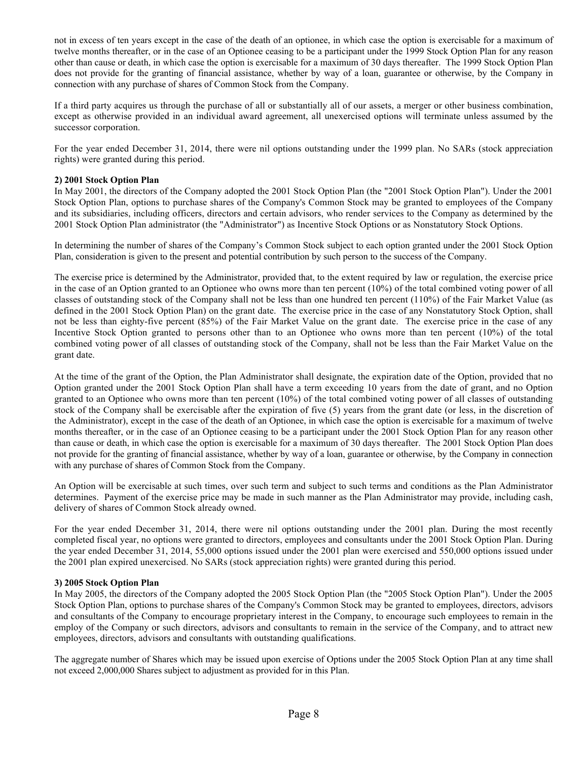not in excess of ten years except in the case of the death of an optionee, in which case the option is exercisable for a maximum of twelve months thereafter, or in the case of an Optionee ceasing to be a participant under the 1999 Stock Option Plan for any reason other than cause or death, in which case the option is exercisable for a maximum of 30 days thereafter. The 1999 Stock Option Plan does not provide for the granting of financial assistance, whether by way of a loan, guarantee or otherwise, by the Company in connection with any purchase of shares of Common Stock from the Company.

If a third party acquires us through the purchase of all or substantially all of our assets, a merger or other business combination, except as otherwise provided in an individual award agreement, all unexercised options will terminate unless assumed by the successor corporation.

For the year ended December 31, 2014, there were nil options outstanding under the 1999 plan. No SARs (stock appreciation rights) were granted during this period.

## **2) 2001 Stock Option Plan**

In May 2001, the directors of the Company adopted the 2001 Stock Option Plan (the "2001 Stock Option Plan"). Under the 2001 Stock Option Plan, options to purchase shares of the Company's Common Stock may be granted to employees of the Company and its subsidiaries, including officers, directors and certain advisors, who render services to the Company as determined by the 2001 Stock Option Plan administrator (the "Administrator") as Incentive Stock Options or as Nonstatutory Stock Options.

In determining the number of shares of the Company's Common Stock subject to each option granted under the 2001 Stock Option Plan, consideration is given to the present and potential contribution by such person to the success of the Company.

The exercise price is determined by the Administrator, provided that, to the extent required by law or regulation, the exercise price in the case of an Option granted to an Optionee who owns more than ten percent (10%) of the total combined voting power of all classes of outstanding stock of the Company shall not be less than one hundred ten percent (110%) of the Fair Market Value (as defined in the 2001 Stock Option Plan) on the grant date. The exercise price in the case of any Nonstatutory Stock Option, shall not be less than eighty-five percent (85%) of the Fair Market Value on the grant date. The exercise price in the case of any Incentive Stock Option granted to persons other than to an Optionee who owns more than ten percent (10%) of the total combined voting power of all classes of outstanding stock of the Company, shall not be less than the Fair Market Value on the grant date.

At the time of the grant of the Option, the Plan Administrator shall designate, the expiration date of the Option, provided that no Option granted under the 2001 Stock Option Plan shall have a term exceeding 10 years from the date of grant, and no Option granted to an Optionee who owns more than ten percent (10%) of the total combined voting power of all classes of outstanding stock of the Company shall be exercisable after the expiration of five (5) years from the grant date (or less, in the discretion of the Administrator), except in the case of the death of an Optionee, in which case the option is exercisable for a maximum of twelve months thereafter, or in the case of an Optionee ceasing to be a participant under the 2001 Stock Option Plan for any reason other than cause or death, in which case the option is exercisable for a maximum of 30 days thereafter. The 2001 Stock Option Plan does not provide for the granting of financial assistance, whether by way of a loan, guarantee or otherwise, by the Company in connection with any purchase of shares of Common Stock from the Company.

An Option will be exercisable at such times, over such term and subject to such terms and conditions as the Plan Administrator determines. Payment of the exercise price may be made in such manner as the Plan Administrator may provide, including cash, delivery of shares of Common Stock already owned.

For the year ended December 31, 2014, there were nil options outstanding under the 2001 plan. During the most recently completed fiscal year, no options were granted to directors, employees and consultants under the 2001 Stock Option Plan. During the year ended December 31, 2014, 55,000 options issued under the 2001 plan were exercised and 550,000 options issued under the 2001 plan expired unexercised. No SARs (stock appreciation rights) were granted during this period.

## **3) 2005 Stock Option Plan**

In May 2005, the directors of the Company adopted the 2005 Stock Option Plan (the "2005 Stock Option Plan"). Under the 2005 Stock Option Plan, options to purchase shares of the Company's Common Stock may be granted to employees, directors, advisors and consultants of the Company to encourage proprietary interest in the Company, to encourage such employees to remain in the employ of the Company or such directors, advisors and consultants to remain in the service of the Company, and to attract new employees, directors, advisors and consultants with outstanding qualifications.

The aggregate number of Shares which may be issued upon exercise of Options under the 2005 Stock Option Plan at any time shall not exceed 2,000,000 Shares subject to adjustment as provided for in this Plan.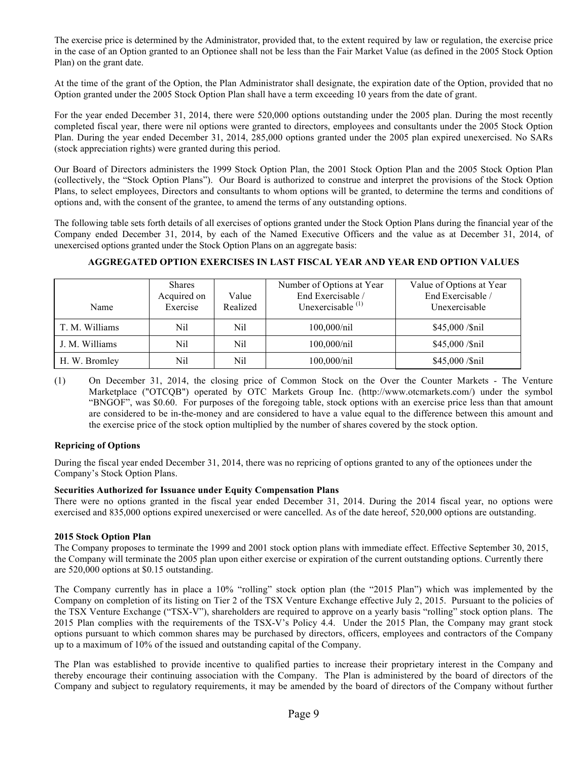The exercise price is determined by the Administrator, provided that, to the extent required by law or regulation, the exercise price in the case of an Option granted to an Optionee shall not be less than the Fair Market Value (as defined in the 2005 Stock Option Plan) on the grant date.

At the time of the grant of the Option, the Plan Administrator shall designate, the expiration date of the Option, provided that no Option granted under the 2005 Stock Option Plan shall have a term exceeding 10 years from the date of grant.

For the year ended December 31, 2014, there were 520,000 options outstanding under the 2005 plan. During the most recently completed fiscal year, there were nil options were granted to directors, employees and consultants under the 2005 Stock Option Plan. During the year ended December 31, 2014, 285,000 options granted under the 2005 plan expired unexercised. No SARs (stock appreciation rights) were granted during this period.

Our Board of Directors administers the 1999 Stock Option Plan, the 2001 Stock Option Plan and the 2005 Stock Option Plan (collectively, the "Stock Option Plans"). Our Board is authorized to construe and interpret the provisions of the Stock Option Plans, to select employees, Directors and consultants to whom options will be granted, to determine the terms and conditions of options and, with the consent of the grantee, to amend the terms of any outstanding options.

The following table sets forth details of all exercises of options granted under the Stock Option Plans during the financial year of the Company ended December 31, 2014, by each of the Named Executive Officers and the value as at December 31, 2014, of unexercised options granted under the Stock Option Plans on an aggregate basis:

| Name           | <b>Shares</b><br>Acquired on<br>Exercise | Value<br>Realized | Number of Options at Year<br>End Exercisable /<br>Unexercisable $(1)$ | Value of Options at Year<br>End Exercisable /<br>Unexercisable |
|----------------|------------------------------------------|-------------------|-----------------------------------------------------------------------|----------------------------------------------------------------|
| T. M. Williams | Nil                                      | Nil               | 100,000/nil                                                           | $$45,000$ /\$nil                                               |
| J. M. Williams | Nil                                      | Nil               | 100,000/nil                                                           | $$45,000$ /\$nil                                               |
| H. W. Bromley  | Nil                                      | Nil               | 100,000/nil                                                           | \$45,000 /\$nil                                                |

# **AGGREGATED OPTION EXERCISES IN LAST FISCAL YEAR AND YEAR END OPTION VALUES**

(1) On December 31, 2014, the closing price of Common Stock on the Over the Counter Markets - The Venture Marketplace ("OTCQB") operated by OTC Markets Group Inc. [\(http://www.otcmarkets.com/](http://www.otcmarkets.com/)) under the symbol "BNGOF", was \$0.60. For purposes of the foregoing table, stock options with an exercise price less than that amount are considered to be in-the-money and are considered to have a value equal to the difference between this amount and the exercise price of the stock option multiplied by the number of shares covered by the stock option.

# **Repricing of Options**

During the fiscal year ended December 31, 2014, there was no repricing of options granted to any of the optionees under the Company's Stock Option Plans.

# **Securities Authorized for Issuance under Equity Compensation Plans**

There were no options granted in the fiscal year ended December 31, 2014. During the 2014 fiscal year, no options were exercised and 835,000 options expired unexercised or were cancelled. As of the date hereof, 520,000 options are outstanding.

# **2015 Stock Option Plan**

The Company proposes to terminate the 1999 and 2001 stock option plans with immediate effect. Effective September 30, 2015, the Company will terminate the 2005 plan upon either exercise or expiration of the current outstanding options. Currently there are 520,000 options at \$0.15 outstanding.

The Company currently has in place a 10% "rolling" stock option plan (the "2015 Plan") which was implemented by the Company on completion of its listing on Tier 2 of the TSX Venture Exchange effective July 2, 2015. Pursuant to the policies of the TSX Venture Exchange ("TSX-V"), shareholders are required to approve on a yearly basis "rolling" stock option plans. The 2015 Plan complies with the requirements of the TSX-V's Policy 4.4. Under the 2015 Plan, the Company may grant stock options pursuant to which common shares may be purchased by directors, officers, employees and contractors of the Company up to a maximum of 10% of the issued and outstanding capital of the Company.

The Plan was established to provide incentive to qualified parties to increase their proprietary interest in the Company and thereby encourage their continuing association with the Company. The Plan is administered by the board of directors of the Company and subject to regulatory requirements, it may be amended by the board of directors of the Company without further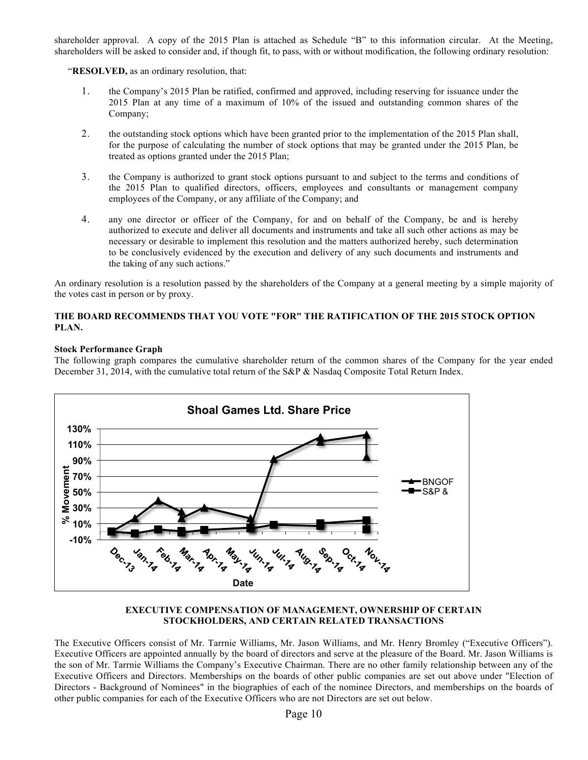shareholder approval. A copy of the 2015 Plan is attached as Schedule "B" to this information circular. At the Meeting, shareholders will be asked to consider and, if though fit, to pass, with or without modification, the following ordinary resolution:

"**RESOLVED,** as an ordinary resolution, that:

- 1. the Company's 2015 Plan be ratified, confirmed and approved, including reserving for issuance under the 2015 Plan at any time of a maximum of 10% of the issued and outstanding common shares of the Company;
- 2. the outstanding stock options which have been granted prior to the implementation of the 2015 Plan shall, for the purpose of calculating the number of stock options that may be granted under the 2015 Plan, be treated as options granted under the 2015 Plan;
- 3. the Company is authorized to grant stock options pursuant to and subject to the terms and conditions of the 2015 Plan to qualified directors, officers, employees and consultants or management company employees of the Company, or any affiliate of the Company; and
- 4. any one director or officer of the Company, for and on behalf of the Company, be and is hereby authorized to execute and deliver all documents and instruments and take all such other actions as may be necessary or desirable to implement this resolution and the matters authorized hereby, such determination to be conclusively evidenced by the execution and delivery of any such documents and instruments and the taking of any such actions."

An ordinary resolution is a resolution passed by the shareholders of the Company at a general meeting by a simple majority of the votes cast in person or by proxy.

# **THE BOARD RECOMMENDS THAT YOU VOTE "FOR" THE RATIFICATION OF THE 2015 STOCK OPTION PLAN.**

## **Stock Performance Graph**

The following graph compares the cumulative shareholder return of the common shares of the Company for the year ended December 31, 2014, with the cumulative total return of the S&P & Nasdaq Composite Total Return Index.



#### **EXECUTIVE COMPENSATION OF MANAGEMENT, OWNERSHIP OF CERTAIN STOCKHOLDERS, AND CERTAIN RELATED TRANSACTIONS**

The Executive Officers consist of Mr. Tarrnie Williams, Mr. Jason Williams, and Mr. Henry Bromley ("Executive Officers"). Executive Officers are appointed annually by the board of directors and serve at the pleasure of the Board. Mr. Jason Williams is the son of Mr. Tarrnie Williams the Company's Executive Chairman. There are no other family relationship between any of the Executive Officers and Directors. Memberships on the boards of other public companies are set out above under "Election of Directors - Background of Nominees" in the biographies of each of the nominee Directors, and memberships on the boards of other public companies for each of the Executive Officers who are not Directors are set out below.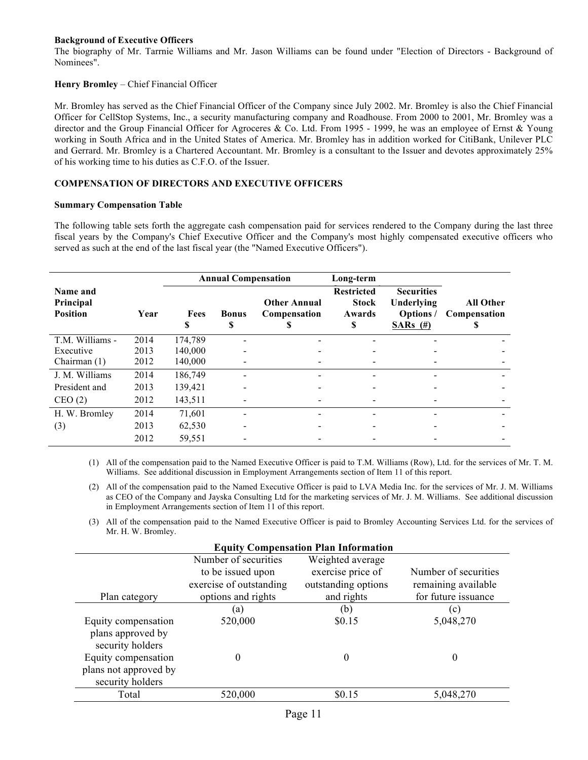# **Background of Executive Officers**

The biography of Mr. Tarrnie Williams and Mr. Jason Williams can be found under "Election of Directors - Background of Nominees".

# **Henry Bromley** – Chief Financial Officer

Mr. Bromley has served as the Chief Financial Officer of the Company since July 2002. Mr. Bromley is also the Chief Financial Officer for CellStop Systems, Inc., a security manufacturing company and Roadhouse. From 2000 to 2001, Mr. Bromley was a director and the Group Financial Officer for Agroceres & Co. Ltd. From 1995 - 1999, he was an employee of Ernst & Young working in South Africa and in the United States of America. Mr. Bromley has in addition worked for CitiBank, Unilever PLC and Gerrard. Mr. Bromley is a Chartered Accountant. Mr. Bromley is a consultant to the Issuer and devotes approximately 25% of his working time to his duties as C.F.O. of the Issuer.

# **COMPENSATION OF DIRECTORS AND EXECUTIVE OFFICERS**

#### **Summary Compensation Table**

The following table sets forth the aggregate cash compensation paid for services rendered to the Company during the last three fiscal years by the Company's Chief Executive Officer and the Company's most highly compensated executive officers who served as such at the end of the last fiscal year (the "Named Executive Officers").

|                                          |      | <b>Annual Compensation</b> |                   | Long-term                           |                                                  |                                                            |                                       |
|------------------------------------------|------|----------------------------|-------------------|-------------------------------------|--------------------------------------------------|------------------------------------------------------------|---------------------------------------|
| Name and<br>Principal<br><b>Position</b> | Year | Fees<br>S                  | <b>Bonus</b><br>S | <b>Other Annual</b><br>Compensation | <b>Restricted</b><br><b>Stock</b><br>Awards<br>S | <b>Securities</b><br>Underlying<br>Options/<br>SARs $(\#)$ | <b>All Other</b><br>Compensation<br>ъ |
| T.M. Williams -                          | 2014 | 174,789                    |                   |                                     |                                                  |                                                            |                                       |
| Executive                                | 2013 | 140,000                    |                   |                                     |                                                  |                                                            |                                       |
| Chairman $(1)$                           | 2012 | 140,000                    |                   |                                     |                                                  |                                                            |                                       |
| J. M. Williams                           | 2014 | 186,749                    |                   |                                     |                                                  |                                                            |                                       |
| President and                            | 2013 | 139,421                    |                   |                                     |                                                  |                                                            |                                       |
| CEO(2)                                   | 2012 | 143,511                    |                   |                                     |                                                  |                                                            |                                       |
| H. W. Bromley                            | 2014 | 71,601                     |                   |                                     |                                                  |                                                            |                                       |
| (3)                                      | 2013 | 62,530                     |                   |                                     |                                                  |                                                            |                                       |
|                                          | 2012 | 59,551                     |                   |                                     |                                                  |                                                            |                                       |

(1) All of the compensation paid to the Named Executive Officer is paid to T.M. Williams (Row), Ltd. for the services of Mr. T. M. Williams. See additional discussion in Employment Arrangements section of Item 11 of this report.

- (2) All of the compensation paid to the Named Executive Officer is paid to LVA Media Inc. for the services of Mr. J. M. Williams as CEO of the Company and Jayska Consulting Ltd for the marketing services of Mr. J. M. Williams. See additional discussion in Employment Arrangements section of Item 11 of this report.
- (3) All of the compensation paid to the Named Executive Officer is paid to Bromley Accounting Services Ltd. for the services of Mr. H. W. Bromley.

|                                       | <b>Equity Compensation Plan Information</b> |                     |                      |  |  |  |  |  |
|---------------------------------------|---------------------------------------------|---------------------|----------------------|--|--|--|--|--|
|                                       | Number of securities                        | Weighted average    |                      |  |  |  |  |  |
|                                       | to be issued upon                           | exercise price of   | Number of securities |  |  |  |  |  |
|                                       | exercise of outstanding                     | outstanding options | remaining available  |  |  |  |  |  |
| Plan category                         | options and rights                          | and rights          | for future issuance  |  |  |  |  |  |
|                                       | (a)                                         | (b)                 | (c)                  |  |  |  |  |  |
| Equity compensation                   | 520,000                                     | \$0.15              | 5,048,270            |  |  |  |  |  |
| plans approved by<br>security holders |                                             |                     |                      |  |  |  |  |  |
| Equity compensation                   |                                             | $\theta$            | 0                    |  |  |  |  |  |
| plans not approved by                 |                                             |                     |                      |  |  |  |  |  |
| security holders                      |                                             |                     |                      |  |  |  |  |  |
| Total                                 | 520,000                                     | \$0.15              | 5,048,270            |  |  |  |  |  |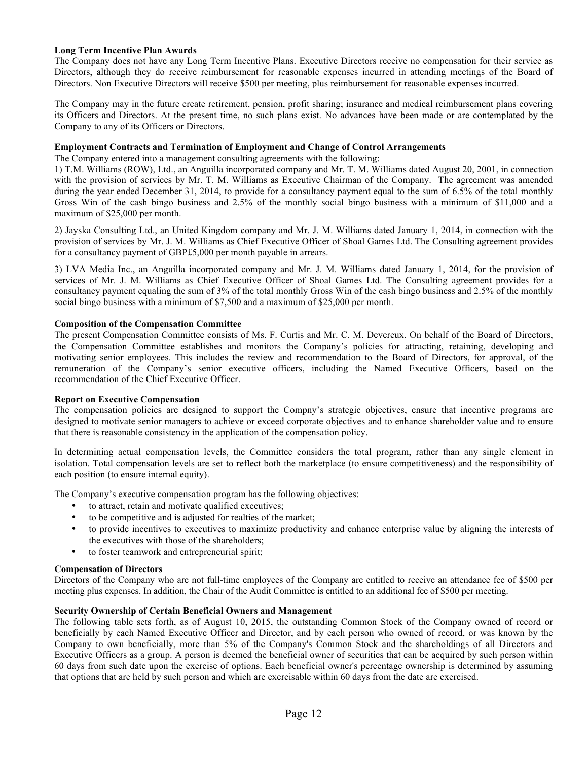## **Long Term Incentive Plan Awards**

The Company does not have any Long Term Incentive Plans. Executive Directors receive no compensation for their service as Directors, although they do receive reimbursement for reasonable expenses incurred in attending meetings of the Board of Directors. Non Executive Directors will receive \$500 per meeting, plus reimbursement for reasonable expenses incurred.

The Company may in the future create retirement, pension, profit sharing; insurance and medical reimbursement plans covering its Officers and Directors. At the present time, no such plans exist. No advances have been made or are contemplated by the Company to any of its Officers or Directors.

## **Employment Contracts and Termination of Employment and Change of Control Arrangements**

The Company entered into a management consulting agreements with the following:

1) T.M. Williams (ROW), Ltd., an Anguilla incorporated company and Mr. T. M. Williams dated August 20, 2001, in connection with the provision of services by Mr. T. M. Williams as Executive Chairman of the Company. The agreement was amended during the year ended December 31, 2014, to provide for a consultancy payment equal to the sum of 6.5% of the total monthly Gross Win of the cash bingo business and 2.5% of the monthly social bingo business with a minimum of \$11,000 and a maximum of \$25,000 per month.

2) Jayska Consulting Ltd., an United Kingdom company and Mr. J. M. Williams dated January 1, 2014, in connection with the provision of services by Mr. J. M. Williams as Chief Executive Officer of Shoal Games Ltd. The Consulting agreement provides for a consultancy payment of GBP£5,000 per month payable in arrears.

3) LVA Media Inc., an Anguilla incorporated company and Mr. J. M. Williams dated January 1, 2014, for the provision of services of Mr. J. M. Williams as Chief Executive Officer of Shoal Games Ltd. The Consulting agreement provides for a consultancy payment equaling the sum of 3% of the total monthly Gross Win of the cash bingo business and 2.5% of the monthly social bingo business with a minimum of \$7,500 and a maximum of \$25,000 per month.

## **Composition of the Compensation Committee**

The present Compensation Committee consists of Ms. F. Curtis and Mr. C. M. Devereux. On behalf of the Board of Directors, the Compensation Committee establishes and monitors the Company's policies for attracting, retaining, developing and motivating senior employees. This includes the review and recommendation to the Board of Directors, for approval, of the remuneration of the Company's senior executive officers, including the Named Executive Officers, based on the recommendation of the Chief Executive Officer.

## **Report on Executive Compensation**

The compensation policies are designed to support the Compny's strategic objectives, ensure that incentive programs are designed to motivate senior managers to achieve or exceed corporate objectives and to enhance shareholder value and to ensure that there is reasonable consistency in the application of the compensation policy.

In determining actual compensation levels, the Committee considers the total program, rather than any single element in isolation. Total compensation levels are set to reflect both the marketplace (to ensure competitiveness) and the responsibility of each position (to ensure internal equity).

The Company's executive compensation program has the following objectives:

- to attract, retain and motivate qualified executives;
- to be competitive and is adjusted for realties of the market;
- to provide incentives to executives to maximize productivity and enhance enterprise value by aligning the interests of the executives with those of the shareholders;
- to foster teamwork and entrepreneurial spirit;

## **Compensation of Directors**

Directors of the Company who are not full-time employees of the Company are entitled to receive an attendance fee of \$500 per meeting plus expenses. In addition, the Chair of the Audit Committee is entitled to an additional fee of \$500 per meeting.

## **Security Ownership of Certain Beneficial Owners and Management**

The following table sets forth, as of August 10, 2015, the outstanding Common Stock of the Company owned of record or beneficially by each Named Executive Officer and Director, and by each person who owned of record, or was known by the Company to own beneficially, more than 5% of the Company's Common Stock and the shareholdings of all Directors and Executive Officers as a group. A person is deemed the beneficial owner of securities that can be acquired by such person within 60 days from such date upon the exercise of options. Each beneficial owner's percentage ownership is determined by assuming that options that are held by such person and which are exercisable within 60 days from the date are exercised.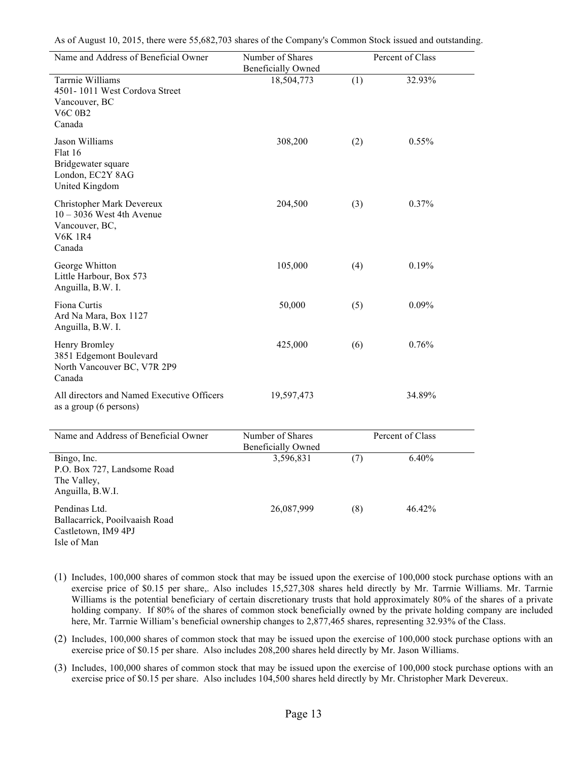As of August 10, 2015, there were 55,682,703 shares of the Company's Common Stock issued and outstanding.

| Name and Address of Beneficial Owner                                                                   | Number of Shares<br><b>Beneficially Owned</b> |     | Percent of Class |  |
|--------------------------------------------------------------------------------------------------------|-----------------------------------------------|-----|------------------|--|
| Tarrnie Williams<br>4501-1011 West Cordova Street<br>Vancouver, BC<br><b>V6C 0B2</b><br>Canada         | 18,504,773                                    | (1) | 32.93%           |  |
| Jason Williams<br>Flat 16<br>Bridgewater square<br>London, EC2Y 8AG<br>United Kingdom                  | 308,200                                       | (2) | $0.55\%$         |  |
| Christopher Mark Devereux<br>$10 - 3036$ West 4th Avenue<br>Vancouver, BC,<br><b>V6K 1R4</b><br>Canada | 204,500                                       | (3) | $0.37\%$         |  |
| George Whitton<br>Little Harbour, Box 573<br>Anguilla, B.W. I.                                         | 105,000                                       | (4) | 0.19%            |  |
| Fiona Curtis<br>Ard Na Mara, Box 1127<br>Anguilla, B.W. I.                                             | 50,000                                        | (5) | $0.09\%$         |  |
| Henry Bromley<br>3851 Edgemont Boulevard<br>North Vancouver BC, V7R 2P9<br>Canada                      | 425,000                                       | (6) | 0.76%            |  |
| All directors and Named Executive Officers<br>as a group (6 persons)                                   | 19,597,473                                    |     | 34.89%           |  |
| Name and Address of Beneficial Owner                                                                   | Number of Shares<br><b>Beneficially Owned</b> |     | Percent of Class |  |
| Bingo, Inc.<br>P.O. Box 727, Landsome Road<br>The Valley,<br>Anguilla, B.W.I.                          | 3,596,831                                     | (7) | 6.40%            |  |
| Pendinas Ltd.<br>Ballacarrick, Pooilvaaish Road<br>Castletown, IM9 4PJ<br>Isle of Man                  | 26,087,999                                    | (8) | 46.42%           |  |

- (1) Includes, 100,000 shares of common stock that may be issued upon the exercise of 100,000 stock purchase options with an exercise price of \$0.15 per share,. Also includes 15,527,308 shares held directly by Mr. Tarrnie Williams. Mr. Tarrnie Williams is the potential beneficiary of certain discretionary trusts that hold approximately 80% of the shares of a private holding company. If 80% of the shares of common stock beneficially owned by the private holding company are included here, Mr. Tarrnie William's beneficial ownership changes to 2,877,465 shares, representing 32.93% of the Class.
- (2) Includes, 100,000 shares of common stock that may be issued upon the exercise of 100,000 stock purchase options with an exercise price of \$0.15 per share. Also includes 208,200 shares held directly by Mr. Jason Williams.
- (3) Includes, 100,000 shares of common stock that may be issued upon the exercise of 100,000 stock purchase options with an exercise price of \$0.15 per share. Also includes 104,500 shares held directly by Mr. Christopher Mark Devereux.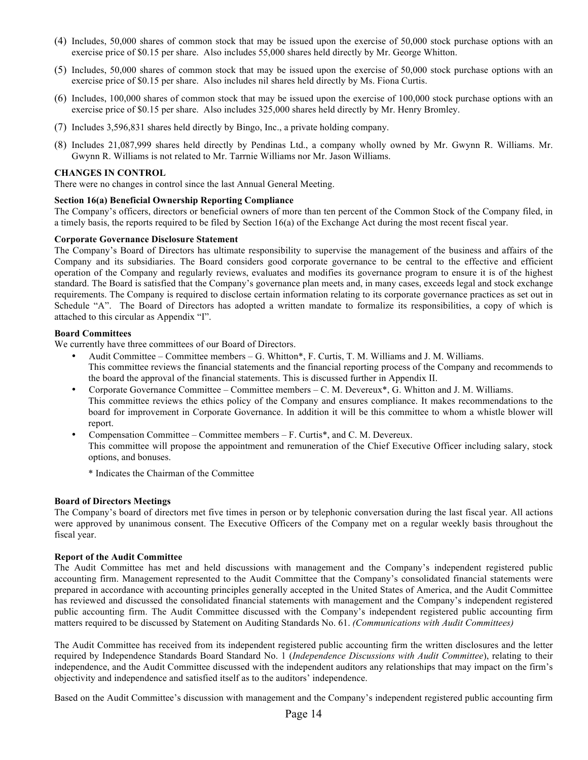- (4) Includes, 50,000 shares of common stock that may be issued upon the exercise of 50,000 stock purchase options with an exercise price of \$0.15 per share. Also includes 55,000 shares held directly by Mr. George Whitton.
- (5) Includes, 50,000 shares of common stock that may be issued upon the exercise of 50,000 stock purchase options with an exercise price of \$0.15 per share. Also includes nil shares held directly by Ms. Fiona Curtis.
- (6) Includes, 100,000 shares of common stock that may be issued upon the exercise of 100,000 stock purchase options with an exercise price of \$0.15 per share. Also includes 325,000 shares held directly by Mr. Henry Bromley.
- (7) Includes 3,596,831 shares held directly by Bingo, Inc., a private holding company.
- (8) Includes 21,087,999 shares held directly by Pendinas Ltd., a company wholly owned by Mr. Gwynn R. Williams. Mr. Gwynn R. Williams is not related to Mr. Tarrnie Williams nor Mr. Jason Williams.

#### **CHANGES IN CONTROL**

There were no changes in control since the last Annual General Meeting.

## **Section 16(a) Beneficial Ownership Reporting Compliance**

The Company's officers, directors or beneficial owners of more than ten percent of the Common Stock of the Company filed, in a timely basis, the reports required to be filed by Section 16(a) of the Exchange Act during the most recent fiscal year.

#### **Corporate Governance Disclosure Statement**

The Company's Board of Directors has ultimate responsibility to supervise the management of the business and affairs of the Company and its subsidiaries. The Board considers good corporate governance to be central to the effective and efficient operation of the Company and regularly reviews, evaluates and modifies its governance program to ensure it is of the highest standard. The Board is satisfied that the Company's governance plan meets and, in many cases, exceeds legal and stock exchange requirements. The Company is required to disclose certain information relating to its corporate governance practices as set out in Schedule "A". The Board of Directors has adopted a written mandate to formalize its responsibilities, a copy of which is attached to this circular as Appendix "I".

#### **Board Committees**

We currently have three committees of our Board of Directors.

- Audit Committee Committee members G. Whitton\*, F. Curtis, T. M. Williams and J. M. Williams. This committee reviews the financial statements and the financial reporting process of the Company and recommends to the board the approval of the financial statements. This is discussed further in Appendix II.
- Corporate Governance Committee Committee members C. M. Devereux\*, G. Whitton and J. M. Williams. This committee reviews the ethics policy of the Company and ensures compliance. It makes recommendations to the board for improvement in Corporate Governance. In addition it will be this committee to whom a whistle blower will report.
- Compensation Committee Committee members F. Curtis\*, and C. M. Devereux. This committee will propose the appointment and remuneration of the Chief Executive Officer including salary, stock options, and bonuses.

\* Indicates the Chairman of the Committee

## **Board of Directors Meetings**

The Company's board of directors met five times in person or by telephonic conversation during the last fiscal year. All actions were approved by unanimous consent. The Executive Officers of the Company met on a regular weekly basis throughout the fiscal year.

#### **Report of the Audit Committee**

The Audit Committee has met and held discussions with management and the Company's independent registered public accounting firm. Management represented to the Audit Committee that the Company's consolidated financial statements were prepared in accordance with accounting principles generally accepted in the United States of America, and the Audit Committee has reviewed and discussed the consolidated financial statements with management and the Company's independent registered public accounting firm. The Audit Committee discussed with the Company's independent registered public accounting firm matters required to be discussed by Statement on Auditing Standards No. 61. *(Communications with Audit Committees)*

The Audit Committee has received from its independent registered public accounting firm the written disclosures and the letter required by Independence Standards Board Standard No. 1 (*Independence Discussions with Audit Committee*), relating to their independence, and the Audit Committee discussed with the independent auditors any relationships that may impact on the firm's objectivity and independence and satisfied itself as to the auditors' independence.

Based on the Audit Committee's discussion with management and the Company's independent registered public accounting firm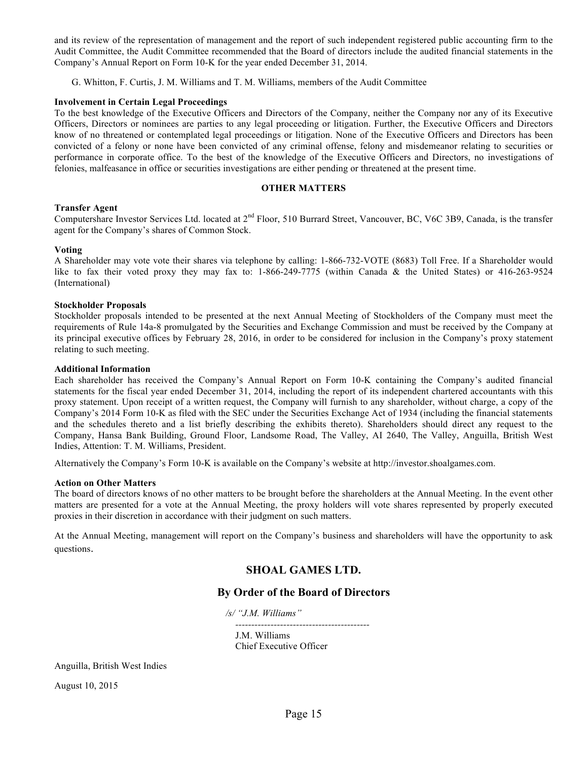and its review of the representation of management and the report of such independent registered public accounting firm to the Audit Committee, the Audit Committee recommended that the Board of directors include the audited financial statements in the Company's Annual Report on Form 10-K for the year ended December 31, 2014.

G. Whitton, F. Curtis, J. M. Williams and T. M. Williams, members of the Audit Committee

#### **Involvement in Certain Legal Proceedings**

To the best knowledge of the Executive Officers and Directors of the Company, neither the Company nor any of its Executive Officers, Directors or nominees are parties to any legal proceeding or litigation. Further, the Executive Officers and Directors know of no threatened or contemplated legal proceedings or litigation. None of the Executive Officers and Directors has been convicted of a felony or none have been convicted of any criminal offense, felony and misdemeanor relating to securities or performance in corporate office. To the best of the knowledge of the Executive Officers and Directors, no investigations of felonies, malfeasance in office or securities investigations are either pending or threatened at the present time.

#### **OTHER MATTERS**

#### **Transfer Agent**

Computershare Investor Services Ltd. located at 2<sup>nd</sup> Floor, 510 Burrard Street, Vancouver, BC, V6C 3B9, Canada, is the transfer agent for the Company's shares of Common Stock.

#### **Voting**

A Shareholder may vote vote their shares via telephone by calling: 1-866-732-VOTE (8683) Toll Free. If a Shareholder would like to fax their voted proxy they may fax to: 1-866-249-7775 (within Canada & the United States) or 416-263-9524 (International)

#### **Stockholder Proposals**

Stockholder proposals intended to be presented at the next Annual Meeting of Stockholders of the Company must meet the requirements of Rule 14a-8 promulgated by the Securities and Exchange Commission and must be received by the Company at its principal executive offices by February 28, 2016, in order to be considered for inclusion in the Company's proxy statement relating to such meeting.

#### **Additional Information**

Each shareholder has received the Company's Annual Report on Form 10-K containing the Company's audited financial statements for the fiscal year ended December 31, 2014, including the report of its independent chartered accountants with this proxy statement. Upon receipt of a written request, the Company will furnish to any shareholder, without charge, a copy of the Company's 2014 Form 10-K as filed with the SEC under the Securities Exchange Act of 1934 (including the financial statements and the schedules thereto and a list briefly describing the exhibits thereto). Shareholders should direct any request to the Company, Hansa Bank Building, Ground Floor, Landsome Road, The Valley, AI 2640, The Valley, Anguilla, British West Indies, Attention: T. M. Williams, President.

Alternatively the Company's Form 10-K is available on the Company's website at http://investor.shoalgames.com.

#### **Action on Other Matters**

The board of directors knows of no other matters to be brought before the shareholders at the Annual Meeting. In the event other matters are presented for a vote at the Annual Meeting, the proxy holders will vote shares represented by properly executed proxies in their discretion in accordance with their judgment on such matters.

At the Annual Meeting, management will report on the Company's business and shareholders will have the opportunity to ask questions.

# **SHOAL GAMES LTD.**

# **By Order of the Board of Directors**

*/s/ "J.M. Williams"*

 *------------------------------------------* J.M. Williams

Chief Executive Officer

Anguilla, British West Indies

August 10, 2015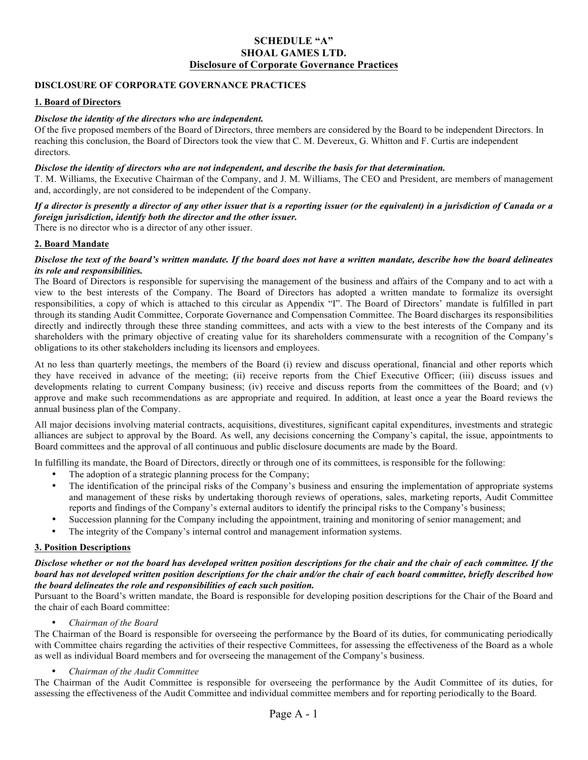# **SCHEDULE "A" SHOAL GAMES LTD. Disclosure of Corporate Governance Practices**

## **DISCLOSURE OF CORPORATE GOVERNANCE PRACTICES**

#### **1. Board of Directors**

#### *Disclose the identity of the directors who are independent.*

Of the five proposed members of the Board of Directors, three members are considered by the Board to be independent Directors. In reaching this conclusion, the Board of Directors took the view that C. M. Devereux, G. Whitton and F. Curtis are independent directors.

#### *Disclose the identity of directors who are not independent, and describe the basis for that determination.*

T. M. Williams, the Executive Chairman of the Company, and J. M. Williams, The CEO and President, are members of management and, accordingly, are not considered to be independent of the Company.

# *If a director is presently a director of any other issuer that is a reporting issuer (or the equivalent) in a jurisdiction of Canada or a foreign jurisdiction, identify both the director and the other issuer.*

There is no director who is a director of any other issuer.

#### **2. Board Mandate**

## *Disclose the text of the board's written mandate. If the board does not have a written mandate, describe how the board delineates its role and responsibilities.*

The Board of Directors is responsible for supervising the management of the business and affairs of the Company and to act with a view to the best interests of the Company. The Board of Directors has adopted a written mandate to formalize its oversight responsibilities, a copy of which is attached to this circular as Appendix "I". The Board of Directors' mandate is fulfilled in part through its standing Audit Committee, Corporate Governance and Compensation Committee. The Board discharges its responsibilities directly and indirectly through these three standing committees, and acts with a view to the best interests of the Company and its shareholders with the primary objective of creating value for its shareholders commensurate with a recognition of the Company's obligations to its other stakeholders including its licensors and employees.

At no less than quarterly meetings, the members of the Board (i) review and discuss operational, financial and other reports which they have received in advance of the meeting; (ii) receive reports from the Chief Executive Officer; (iii) discuss issues and developments relating to current Company business; (iv) receive and discuss reports from the committees of the Board; and (v) approve and make such recommendations as are appropriate and required. In addition, at least once a year the Board reviews the annual business plan of the Company.

All major decisions involving material contracts, acquisitions, divestitures, significant capital expenditures, investments and strategic alliances are subject to approval by the Board. As well, any decisions concerning the Company's capital, the issue, appointments to Board committees and the approval of all continuous and public disclosure documents are made by the Board.

In fulfilling its mandate, the Board of Directors, directly or through one of its committees, is responsible for the following:

- The adoption of a strategic planning process for the Company;
- The identification of the principal risks of the Company's business and ensuring the implementation of appropriate systems and management of these risks by undertaking thorough reviews of operations, sales, marketing reports, Audit Committee reports and findings of the Company's external auditors to identify the principal risks to the Company's business;
- Succession planning for the Company including the appointment, training and monitoring of senior management; and
- The integrity of the Company's internal control and management information systems.

#### **3. Position Descriptions**

#### *Disclose whether or not the board has developed written position descriptions for the chair and the chair of each committee. If the board has not developed written position descriptions for the chair and/or the chair of each board committee, briefly described how the board delineates the role and responsibilities of each such position.*

Pursuant to the Board's written mandate, the Board is responsible for developing position descriptions for the Chair of the Board and the chair of each Board committee:

• *Chairman of the Board*

The Chairman of the Board is responsible for overseeing the performance by the Board of its duties, for communicating periodically with Committee chairs regarding the activities of their respective Committees, for assessing the effectiveness of the Board as a whole as well as individual Board members and for overseeing the management of the Company's business.

#### • *Chairman of the Audit Committee*

The Chairman of the Audit Committee is responsible for overseeing the performance by the Audit Committee of its duties, for assessing the effectiveness of the Audit Committee and individual committee members and for reporting periodically to the Board.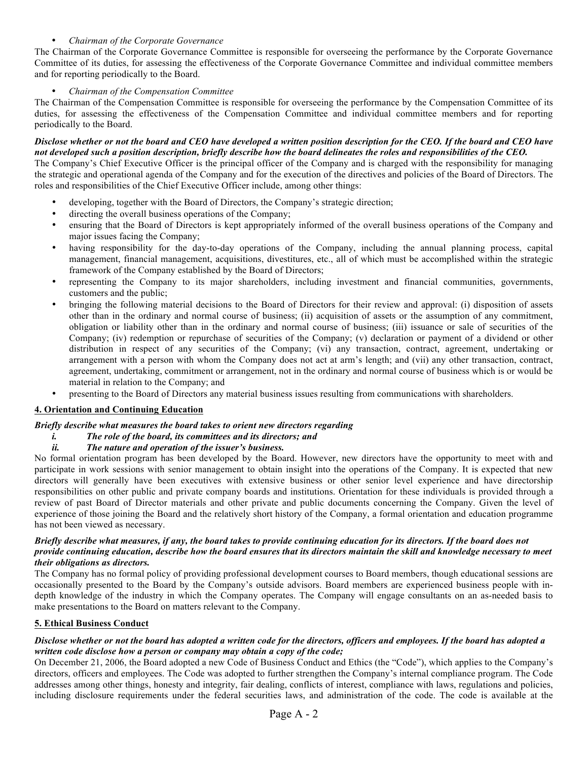# • *Chairman of the Corporate Governance*

The Chairman of the Corporate Governance Committee is responsible for overseeing the performance by the Corporate Governance Committee of its duties, for assessing the effectiveness of the Corporate Governance Committee and individual committee members and for reporting periodically to the Board.

## • *Chairman of the Compensation Committee*

The Chairman of the Compensation Committee is responsible for overseeing the performance by the Compensation Committee of its duties, for assessing the effectiveness of the Compensation Committee and individual committee members and for reporting periodically to the Board.

#### *Disclose whether or not the board and CEO have developed a written position description for the CEO. If the board and CEO have not developed such a position description, briefly describe how the board delineates the roles and responsibilities of the CEO.*

The Company's Chief Executive Officer is the principal officer of the Company and is charged with the responsibility for managing the strategic and operational agenda of the Company and for the execution of the directives and policies of the Board of Directors. The roles and responsibilities of the Chief Executive Officer include, among other things:

- developing, together with the Board of Directors, the Company's strategic direction;
- directing the overall business operations of the Company;
- ensuring that the Board of Directors is kept appropriately informed of the overall business operations of the Company and major issues facing the Company;
- having responsibility for the day-to-day operations of the Company, including the annual planning process, capital management, financial management, acquisitions, divestitures, etc., all of which must be accomplished within the strategic framework of the Company established by the Board of Directors;
- representing the Company to its major shareholders, including investment and financial communities, governments, customers and the public;
- bringing the following material decisions to the Board of Directors for their review and approval: (i) disposition of assets other than in the ordinary and normal course of business; (ii) acquisition of assets or the assumption of any commitment, obligation or liability other than in the ordinary and normal course of business; (iii) issuance or sale of securities of the Company; (iv) redemption or repurchase of securities of the Company; (v) declaration or payment of a dividend or other distribution in respect of any securities of the Company; (vi) any transaction, contract, agreement, undertaking or arrangement with a person with whom the Company does not act at arm's length; and (vii) any other transaction, contract, agreement, undertaking, commitment or arrangement, not in the ordinary and normal course of business which is or would be material in relation to the Company; and
- presenting to the Board of Directors any material business issues resulting from communications with shareholders.

## **4. Orientation and Continuing Education**

## *Briefly describe what measures the board takes to orient new directors regarding*

*i. The role of the board, its committees and its directors; and* 

# *ii. The nature and operation of the issuer's business.*

No formal orientation program has been developed by the Board. However, new directors have the opportunity to meet with and participate in work sessions with senior management to obtain insight into the operations of the Company. It is expected that new directors will generally have been executives with extensive business or other senior level experience and have directorship responsibilities on other public and private company boards and institutions. Orientation for these individuals is provided through a review of past Board of Director materials and other private and public documents concerning the Company. Given the level of experience of those joining the Board and the relatively short history of the Company, a formal orientation and education programme has not been viewed as necessary.

## *Briefly describe what measures, if any, the board takes to provide continuing education for its directors. If the board does not provide continuing education, describe how the board ensures that its directors maintain the skill and knowledge necessary to meet their obligations as directors.*

The Company has no formal policy of providing professional development courses to Board members, though educational sessions are occasionally presented to the Board by the Company's outside advisors. Board members are experienced business people with indepth knowledge of the industry in which the Company operates. The Company will engage consultants on an as-needed basis to make presentations to the Board on matters relevant to the Company.

## **5. Ethical Business Conduct**

## *Disclose whether or not the board has adopted a written code for the directors, officers and employees. If the board has adopted a written code disclose how a person or company may obtain a copy of the code;*

On December 21, 2006, the Board adopted a new Code of Business Conduct and Ethics (the "Code"), which applies to the Company's directors, officers and employees. The Code was adopted to further strengthen the Company's internal compliance program. The Code addresses among other things, honesty and integrity, fair dealing, conflicts of interest, compliance with laws, regulations and policies, including disclosure requirements under the federal securities laws, and administration of the code. The code is available at the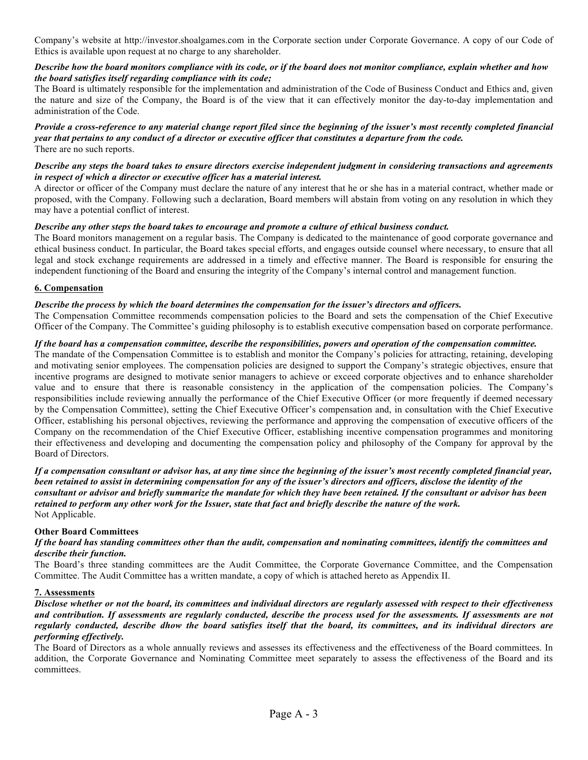Company's website at http://investor.shoalgames.com in the Corporate section under Corporate Governance. A copy of our Code of Ethics is available upon request at no charge to any shareholder.

## *Describe how the board monitors compliance with its code, or if the board does not monitor compliance, explain whether and how the board satisfies itself regarding compliance with its code;*

The Board is ultimately responsible for the implementation and administration of the Code of Business Conduct and Ethics and, given the nature and size of the Company, the Board is of the view that it can effectively monitor the day-to-day implementation and administration of the Code.

#### *Provide a cross-reference to any material change report filed since the beginning of the issuer's most recently completed financial year that pertains to any conduct of a director or executive officer that constitutes a departure from the code.* There are no such reports.

## *Describe any steps the board takes to ensure directors exercise independent judgment in considering transactions and agreements in respect of which a director or executive officer has a material interest.*

A director or officer of the Company must declare the nature of any interest that he or she has in a material contract, whether made or proposed, with the Company. Following such a declaration, Board members will abstain from voting on any resolution in which they may have a potential conflict of interest.

# *Describe any other steps the board takes to encourage and promote a culture of ethical business conduct.*

The Board monitors management on a regular basis. The Company is dedicated to the maintenance of good corporate governance and ethical business conduct. In particular, the Board takes special efforts, and engages outside counsel where necessary, to ensure that all legal and stock exchange requirements are addressed in a timely and effective manner. The Board is responsible for ensuring the independent functioning of the Board and ensuring the integrity of the Company's internal control and management function.

# **6. Compensation**

# *Describe the process by which the board determines the compensation for the issuer's directors and officers.*

The Compensation Committee recommends compensation policies to the Board and sets the compensation of the Chief Executive Officer of the Company. The Committee's guiding philosophy is to establish executive compensation based on corporate performance.

## *If the board has a compensation committee, describe the responsibilities, powers and operation of the compensation committee.*

The mandate of the Compensation Committee is to establish and monitor the Company's policies for attracting, retaining, developing and motivating senior employees. The compensation policies are designed to support the Company's strategic objectives, ensure that incentive programs are designed to motivate senior managers to achieve or exceed corporate objectives and to enhance shareholder value and to ensure that there is reasonable consistency in the application of the compensation policies. The Company's responsibilities include reviewing annually the performance of the Chief Executive Officer (or more frequently if deemed necessary by the Compensation Committee), setting the Chief Executive Officer's compensation and, in consultation with the Chief Executive Officer, establishing his personal objectives, reviewing the performance and approving the compensation of executive officers of the Company on the recommendation of the Chief Executive Officer, establishing incentive compensation programmes and monitoring their effectiveness and developing and documenting the compensation policy and philosophy of the Company for approval by the Board of Directors.

## *If a compensation consultant or advisor has, at any time since the beginning of the issuer's most recently completed financial year, been retained to assist in determining compensation for any of the issuer's directors and officers, disclose the identity of the consultant or advisor and briefly summarize the mandate for which they have been retained. If the consultant or advisor has been retained to perform any other work for the Issuer, state that fact and briefly describe the nature of the work.* Not Applicable.

## **Other Board Committees**

## *If the board has standing committees other than the audit, compensation and nominating committees, identify the committees and describe their function.*

The Board's three standing committees are the Audit Committee, the Corporate Governance Committee, and the Compensation Committee. The Audit Committee has a written mandate, a copy of which is attached hereto as Appendix II.

## **7. Assessments**

*Disclose whether or not the board, its committees and individual directors are regularly assessed with respect to their effectiveness and contribution. If assessments are regularly conducted, describe the process used for the assessments. If assessments are not regularly conducted, describe dhow the board satisfies itself that the board, its committees, and its individual directors are performing effectively.*

The Board of Directors as a whole annually reviews and assesses its effectiveness and the effectiveness of the Board committees. In addition, the Corporate Governance and Nominating Committee meet separately to assess the effectiveness of the Board and its committees.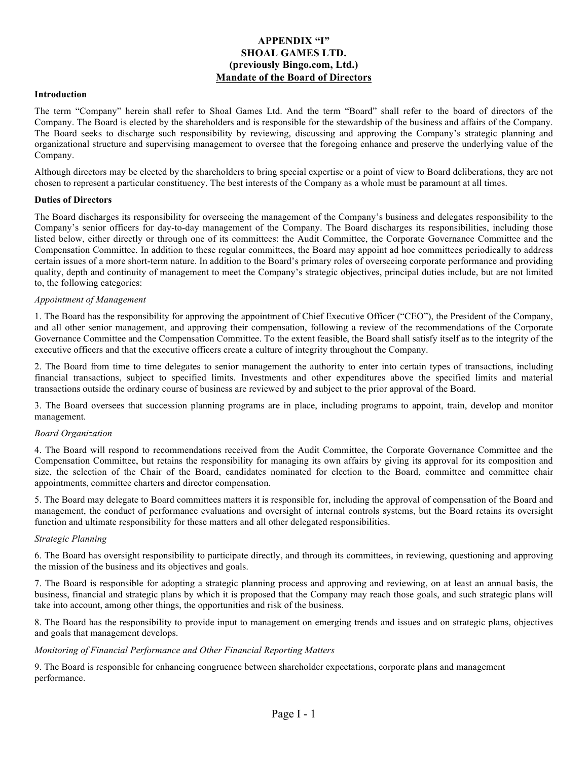# **APPENDIX "I" SHOAL GAMES LTD. (previously Bingo.com, Ltd.) Mandate of the Board of Directors**

#### **Introduction**

The term "Company" herein shall refer to Shoal Games Ltd. And the term "Board" shall refer to the board of directors of the Company. The Board is elected by the shareholders and is responsible for the stewardship of the business and affairs of the Company. The Board seeks to discharge such responsibility by reviewing, discussing and approving the Company's strategic planning and organizational structure and supervising management to oversee that the foregoing enhance and preserve the underlying value of the Company.

Although directors may be elected by the shareholders to bring special expertise or a point of view to Board deliberations, they are not chosen to represent a particular constituency. The best interests of the Company as a whole must be paramount at all times.

#### **Duties of Directors**

The Board discharges its responsibility for overseeing the management of the Company's business and delegates responsibility to the Company's senior officers for day-to-day management of the Company. The Board discharges its responsibilities, including those listed below, either directly or through one of its committees: the Audit Committee, the Corporate Governance Committee and the Compensation Committee. In addition to these regular committees, the Board may appoint ad hoc committees periodically to address certain issues of a more short-term nature. In addition to the Board's primary roles of overseeing corporate performance and providing quality, depth and continuity of management to meet the Company's strategic objectives, principal duties include, but are not limited to, the following categories:

#### *Appointment of Management*

1. The Board has the responsibility for approving the appointment of Chief Executive Officer ("CEO"), the President of the Company, and all other senior management, and approving their compensation, following a review of the recommendations of the Corporate Governance Committee and the Compensation Committee. To the extent feasible, the Board shall satisfy itself as to the integrity of the executive officers and that the executive officers create a culture of integrity throughout the Company.

2. The Board from time to time delegates to senior management the authority to enter into certain types of transactions, including financial transactions, subject to specified limits. Investments and other expenditures above the specified limits and material transactions outside the ordinary course of business are reviewed by and subject to the prior approval of the Board.

3. The Board oversees that succession planning programs are in place, including programs to appoint, train, develop and monitor management.

#### *Board Organization*

4. The Board will respond to recommendations received from the Audit Committee, the Corporate Governance Committee and the Compensation Committee, but retains the responsibility for managing its own affairs by giving its approval for its composition and size, the selection of the Chair of the Board, candidates nominated for election to the Board, committee and committee chair appointments, committee charters and director compensation.

5. The Board may delegate to Board committees matters it is responsible for, including the approval of compensation of the Board and management, the conduct of performance evaluations and oversight of internal controls systems, but the Board retains its oversight function and ultimate responsibility for these matters and all other delegated responsibilities.

#### *Strategic Planning*

6. The Board has oversight responsibility to participate directly, and through its committees, in reviewing, questioning and approving the mission of the business and its objectives and goals.

7. The Board is responsible for adopting a strategic planning process and approving and reviewing, on at least an annual basis, the business, financial and strategic plans by which it is proposed that the Company may reach those goals, and such strategic plans will take into account, among other things, the opportunities and risk of the business.

8. The Board has the responsibility to provide input to management on emerging trends and issues and on strategic plans, objectives and goals that management develops.

## *Monitoring of Financial Performance and Other Financial Reporting Matters*

9. The Board is responsible for enhancing congruence between shareholder expectations, corporate plans and management performance.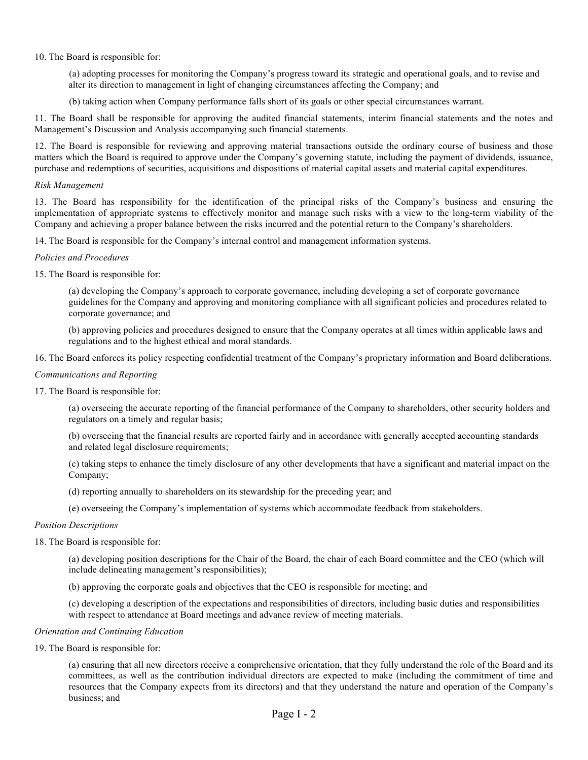10. The Board is responsible for:

(a) adopting processes for monitoring the Company's progress toward its strategic and operational goals, and to revise and alter its direction to management in light of changing circumstances affecting the Company; and

(b) taking action when Company performance falls short of its goals or other special circumstances warrant.

11. The Board shall be responsible for approving the audited financial statements, interim financial statements and the notes and Management's Discussion and Analysis accompanying such financial statements.

12. The Board is responsible for reviewing and approving material transactions outside the ordinary course of business and those matters which the Board is required to approve under the Company's governing statute, including the payment of dividends, issuance, purchase and redemptions of securities, acquisitions and dispositions of material capital assets and material capital expenditures.

#### *Risk Management*

13. The Board has responsibility for the identification of the principal risks of the Company's business and ensuring the implementation of appropriate systems to effectively monitor and manage such risks with a view to the long-term viability of the Company and achieving a proper balance between the risks incurred and the potential return to the Company's shareholders.

14. The Board is responsible for the Company's internal control and management information systems.

#### *Policies and Procedures*

15. The Board is responsible for:

(a) developing the Company's approach to corporate governance, including developing a set of corporate governance guidelines for the Company and approving and monitoring compliance with all significant policies and procedures related to corporate governance; and

(b) approving policies and procedures designed to ensure that the Company operates at all times within applicable laws and regulations and to the highest ethical and moral standards.

16. The Board enforces its policy respecting confidential treatment of the Company's proprietary information and Board deliberations.

## *Communications and Reporting*

17. The Board is responsible for:

(a) overseeing the accurate reporting of the financial performance of the Company to shareholders, other security holders and regulators on a timely and regular basis;

(b) overseeing that the financial results are reported fairly and in accordance with generally accepted accounting standards and related legal disclosure requirements;

(c) taking steps to enhance the timely disclosure of any other developments that have a significant and material impact on the Company;

(d) reporting annually to shareholders on its stewardship for the preceding year; and

(e) overseeing the Company's implementation of systems which accommodate feedback from stakeholders.

#### *Position Descriptions*

18. The Board is responsible for:

(a) developing position descriptions for the Chair of the Board, the chair of each Board committee and the CEO (which will include delineating management's responsibilities);

(b) approving the corporate goals and objectives that the CEO is responsible for meeting; and

(c) developing a description of the expectations and responsibilities of directors, including basic duties and responsibilities with respect to attendance at Board meetings and advance review of meeting materials.

#### *Orientation and Continuing Education*

19. The Board is responsible for:

(a) ensuring that all new directors receive a comprehensive orientation, that they fully understand the role of the Board and its committees, as well as the contribution individual directors are expected to make (including the commitment of time and resources that the Company expects from its directors) and that they understand the nature and operation of the Company's business; and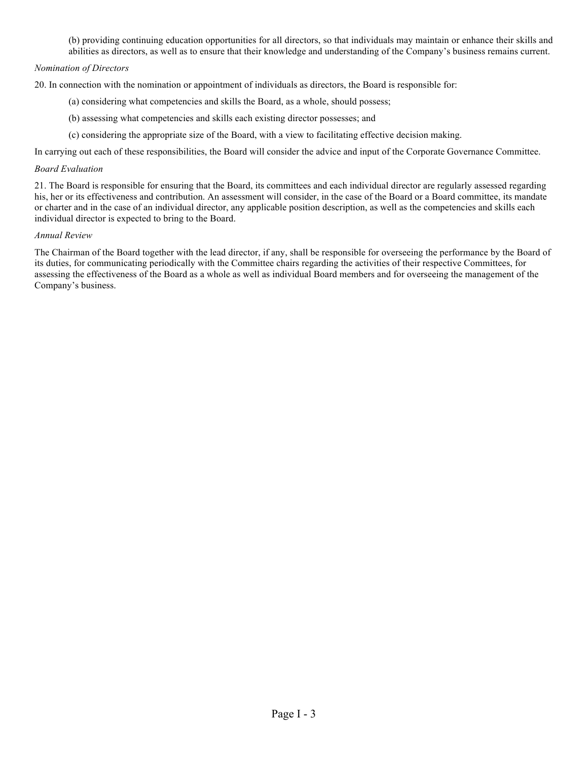(b) providing continuing education opportunities for all directors, so that individuals may maintain or enhance their skills and abilities as directors, as well as to ensure that their knowledge and understanding of the Company's business remains current.

# *Nomination of Directors*

20. In connection with the nomination or appointment of individuals as directors, the Board is responsible for:

- (a) considering what competencies and skills the Board, as a whole, should possess;
- (b) assessing what competencies and skills each existing director possesses; and
- (c) considering the appropriate size of the Board, with a view to facilitating effective decision making.

In carrying out each of these responsibilities, the Board will consider the advice and input of the Corporate Governance Committee.

#### *Board Evaluation*

21. The Board is responsible for ensuring that the Board, its committees and each individual director are regularly assessed regarding his, her or its effectiveness and contribution. An assessment will consider, in the case of the Board or a Board committee, its mandate or charter and in the case of an individual director, any applicable position description, as well as the competencies and skills each individual director is expected to bring to the Board.

#### *Annual Review*

The Chairman of the Board together with the lead director, if any, shall be responsible for overseeing the performance by the Board of its duties, for communicating periodically with the Committee chairs regarding the activities of their respective Committees, for assessing the effectiveness of the Board as a whole as well as individual Board members and for overseeing the management of the Company's business.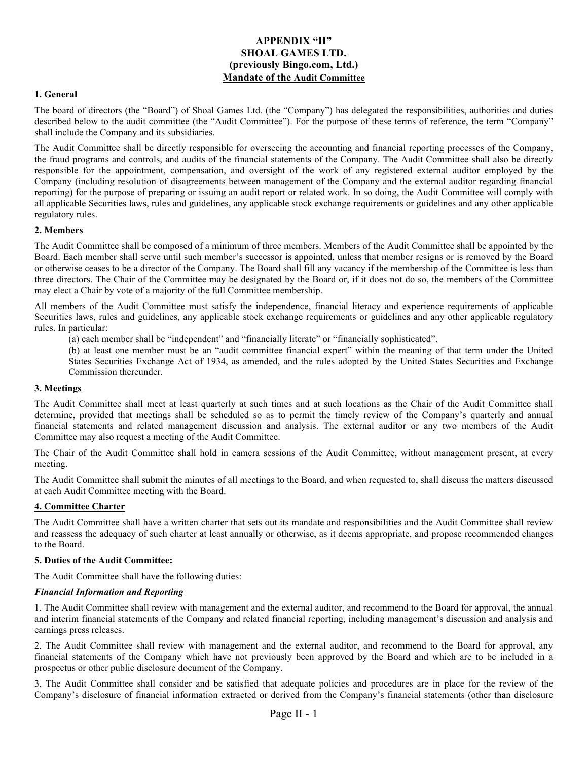# **APPENDIX "II" SHOAL GAMES LTD. (previously Bingo.com, Ltd.) Mandate of the Audit Committee**

# **1. General**

The board of directors (the "Board") of Shoal Games Ltd. (the "Company") has delegated the responsibilities, authorities and duties described below to the audit committee (the "Audit Committee"). For the purpose of these terms of reference, the term "Company" shall include the Company and its subsidiaries.

The Audit Committee shall be directly responsible for overseeing the accounting and financial reporting processes of the Company, the fraud programs and controls, and audits of the financial statements of the Company. The Audit Committee shall also be directly responsible for the appointment, compensation, and oversight of the work of any registered external auditor employed by the Company (including resolution of disagreements between management of the Company and the external auditor regarding financial reporting) for the purpose of preparing or issuing an audit report or related work. In so doing, the Audit Committee will comply with all applicable Securities laws, rules and guidelines, any applicable stock exchange requirements or guidelines and any other applicable regulatory rules.

## **2. Members**

The Audit Committee shall be composed of a minimum of three members. Members of the Audit Committee shall be appointed by the Board. Each member shall serve until such member's successor is appointed, unless that member resigns or is removed by the Board or otherwise ceases to be a director of the Company. The Board shall fill any vacancy if the membership of the Committee is less than three directors. The Chair of the Committee may be designated by the Board or, if it does not do so, the members of the Committee may elect a Chair by vote of a majority of the full Committee membership.

All members of the Audit Committee must satisfy the independence, financial literacy and experience requirements of applicable Securities laws, rules and guidelines, any applicable stock exchange requirements or guidelines and any other applicable regulatory rules. In particular:

(a) each member shall be "independent" and "financially literate" or "financially sophisticated".

(b) at least one member must be an "audit committee financial expert" within the meaning of that term under the United States Securities Exchange Act of 1934, as amended, and the rules adopted by the United States Securities and Exchange Commission thereunder.

## **3. Meetings**

The Audit Committee shall meet at least quarterly at such times and at such locations as the Chair of the Audit Committee shall determine, provided that meetings shall be scheduled so as to permit the timely review of the Company's quarterly and annual financial statements and related management discussion and analysis. The external auditor or any two members of the Audit Committee may also request a meeting of the Audit Committee.

The Chair of the Audit Committee shall hold in camera sessions of the Audit Committee, without management present, at every meeting.

The Audit Committee shall submit the minutes of all meetings to the Board, and when requested to, shall discuss the matters discussed at each Audit Committee meeting with the Board.

#### **4. Committee Charter**

The Audit Committee shall have a written charter that sets out its mandate and responsibilities and the Audit Committee shall review and reassess the adequacy of such charter at least annually or otherwise, as it deems appropriate, and propose recommended changes to the Board.

#### **5. Duties of the Audit Committee:**

The Audit Committee shall have the following duties:

## *Financial Information and Reporting*

1. The Audit Committee shall review with management and the external auditor, and recommend to the Board for approval, the annual and interim financial statements of the Company and related financial reporting, including management's discussion and analysis and earnings press releases.

2. The Audit Committee shall review with management and the external auditor, and recommend to the Board for approval, any financial statements of the Company which have not previously been approved by the Board and which are to be included in a prospectus or other public disclosure document of the Company.

3. The Audit Committee shall consider and be satisfied that adequate policies and procedures are in place for the review of the Company's disclosure of financial information extracted or derived from the Company's financial statements (other than disclosure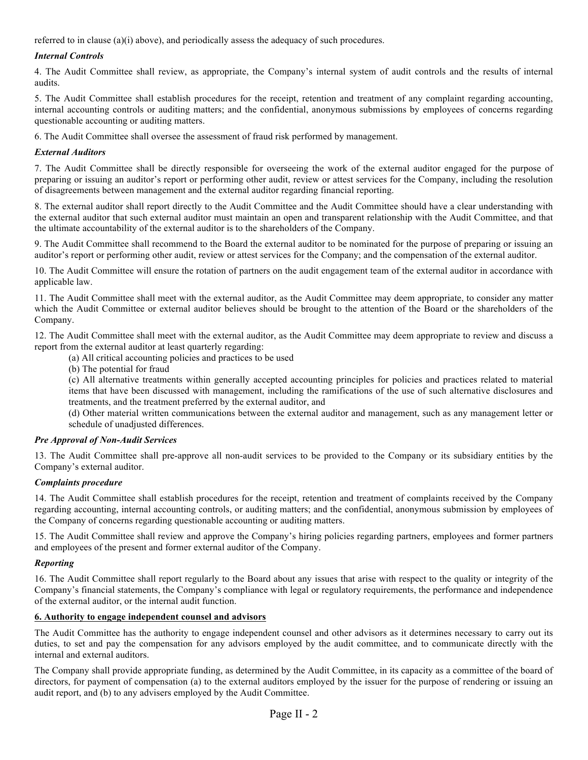referred to in clause (a)(i) above), and periodically assess the adequacy of such procedures.

# *Internal Controls*

4. The Audit Committee shall review, as appropriate, the Company's internal system of audit controls and the results of internal audits.

5. The Audit Committee shall establish procedures for the receipt, retention and treatment of any complaint regarding accounting, internal accounting controls or auditing matters; and the confidential, anonymous submissions by employees of concerns regarding questionable accounting or auditing matters.

6. The Audit Committee shall oversee the assessment of fraud risk performed by management.

# *External Auditors*

7. The Audit Committee shall be directly responsible for overseeing the work of the external auditor engaged for the purpose of preparing or issuing an auditor's report or performing other audit, review or attest services for the Company, including the resolution of disagreements between management and the external auditor regarding financial reporting.

8. The external auditor shall report directly to the Audit Committee and the Audit Committee should have a clear understanding with the external auditor that such external auditor must maintain an open and transparent relationship with the Audit Committee, and that the ultimate accountability of the external auditor is to the shareholders of the Company.

9. The Audit Committee shall recommend to the Board the external auditor to be nominated for the purpose of preparing or issuing an auditor's report or performing other audit, review or attest services for the Company; and the compensation of the external auditor.

10. The Audit Committee will ensure the rotation of partners on the audit engagement team of the external auditor in accordance with applicable law.

11. The Audit Committee shall meet with the external auditor, as the Audit Committee may deem appropriate, to consider any matter which the Audit Committee or external auditor believes should be brought to the attention of the Board or the shareholders of the Company.

12. The Audit Committee shall meet with the external auditor, as the Audit Committee may deem appropriate to review and discuss a report from the external auditor at least quarterly regarding:

(a) All critical accounting policies and practices to be used

(b) The potential for fraud

(c) All alternative treatments within generally accepted accounting principles for policies and practices related to material items that have been discussed with management, including the ramifications of the use of such alternative disclosures and treatments, and the treatment preferred by the external auditor, and

(d) Other material written communications between the external auditor and management, such as any management letter or schedule of unadjusted differences.

# *Pre Approval of Non-Audit Services*

13. The Audit Committee shall pre-approve all non-audit services to be provided to the Company or its subsidiary entities by the Company's external auditor.

## *Complaints procedure*

14. The Audit Committee shall establish procedures for the receipt, retention and treatment of complaints received by the Company regarding accounting, internal accounting controls, or auditing matters; and the confidential, anonymous submission by employees of the Company of concerns regarding questionable accounting or auditing matters.

15. The Audit Committee shall review and approve the Company's hiring policies regarding partners, employees and former partners and employees of the present and former external auditor of the Company.

## *Reporting*

16. The Audit Committee shall report regularly to the Board about any issues that arise with respect to the quality or integrity of the Company's financial statements, the Company's compliance with legal or regulatory requirements, the performance and independence of the external auditor, or the internal audit function.

## **6. Authority to engage independent counsel and advisors**

The Audit Committee has the authority to engage independent counsel and other advisors as it determines necessary to carry out its duties, to set and pay the compensation for any advisors employed by the audit committee, and to communicate directly with the internal and external auditors.

The Company shall provide appropriate funding, as determined by the Audit Committee, in its capacity as a committee of the board of directors, for payment of compensation (a) to the external auditors employed by the issuer for the purpose of rendering or issuing an audit report, and (b) to any advisers employed by the Audit Committee.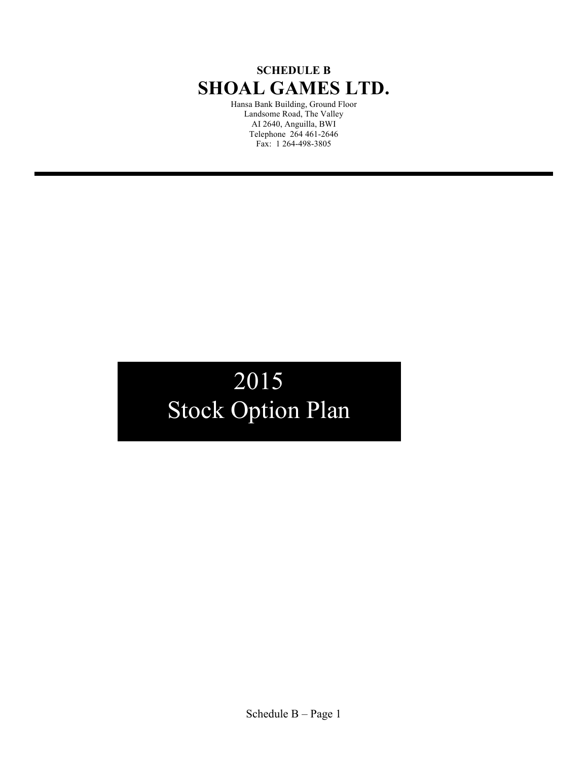# **SCHEDULE B SHOAL GAMES LTD.**

Hansa Bank Building, Ground Floor Landsome Road, The Valley AI 2640, Anguilla, BWI Telephone 264 461-2646 Fax: 1 264-498-3805

# 2015 Stock Option Plan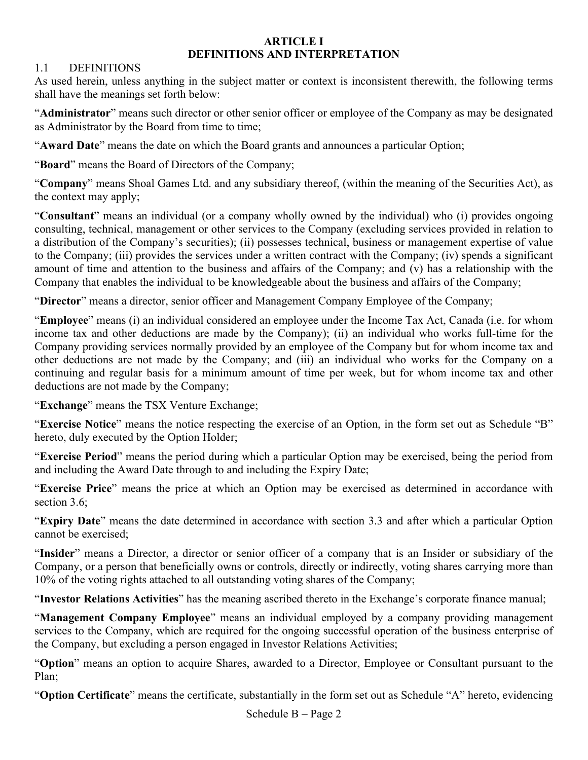# **ARTICLE I DEFINITIONS AND INTERPRETATION**

# 1.1 DEFINITIONS

As used herein, unless anything in the subject matter or context is inconsistent therewith, the following terms shall have the meanings set forth below:

"**Administrator**" means such director or other senior officer or employee of the Company as may be designated as Administrator by the Board from time to time;

"**Award Date**" means the date on which the Board grants and announces a particular Option;

"**Board**" means the Board of Directors of the Company;

"**Company**" means Shoal Games Ltd. and any subsidiary thereof, (within the meaning of the Securities Act), as the context may apply;

"**Consultant**" means an individual (or a company wholly owned by the individual) who (i) provides ongoing consulting, technical, management or other services to the Company (excluding services provided in relation to a distribution of the Company's securities); (ii) possesses technical, business or management expertise of value to the Company; (iii) provides the services under a written contract with the Company; (iv) spends a significant amount of time and attention to the business and affairs of the Company; and (v) has a relationship with the Company that enables the individual to be knowledgeable about the business and affairs of the Company;

"**Director**" means a director, senior officer and Management Company Employee of the Company;

"**Employee**" means (i) an individual considered an employee under the Income Tax Act, Canada (i.e. for whom income tax and other deductions are made by the Company); (ii) an individual who works full-time for the Company providing services normally provided by an employee of the Company but for whom income tax and other deductions are not made by the Company; and (iii) an individual who works for the Company on a continuing and regular basis for a minimum amount of time per week, but for whom income tax and other deductions are not made by the Company;

"**Exchange**" means the TSX Venture Exchange;

"**Exercise Notice**" means the notice respecting the exercise of an Option, in the form set out as Schedule "B" hereto, duly executed by the Option Holder;

"**Exercise Period**" means the period during which a particular Option may be exercised, being the period from and including the Award Date through to and including the Expiry Date;

"**Exercise Price**" means the price at which an Option may be exercised as determined in accordance with section 3.6;

"**Expiry Date**" means the date determined in accordance with section 3.3 and after which a particular Option cannot be exercised;

"**Insider**" means a Director, a director or senior officer of a company that is an Insider or subsidiary of the Company, or a person that beneficially owns or controls, directly or indirectly, voting shares carrying more than 10% of the voting rights attached to all outstanding voting shares of the Company;

"**Investor Relations Activities**" has the meaning ascribed thereto in the Exchange's corporate finance manual;

"**Management Company Employee**" means an individual employed by a company providing management services to the Company, which are required for the ongoing successful operation of the business enterprise of the Company, but excluding a person engaged in Investor Relations Activities;

"**Option**" means an option to acquire Shares, awarded to a Director, Employee or Consultant pursuant to the Plan;

"**Option Certificate**" means the certificate, substantially in the form set out as Schedule "A" hereto, evidencing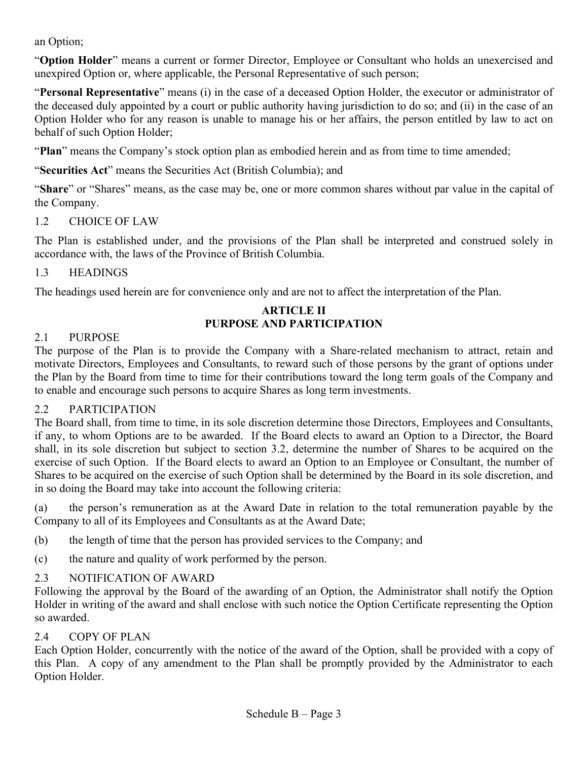an Option;

"**Option Holder**" means a current or former Director, Employee or Consultant who holds an unexercised and unexpired Option or, where applicable, the Personal Representative of such person;

"**Personal Representative**" means (i) in the case of a deceased Option Holder, the executor or administrator of the deceased duly appointed by a court or public authority having jurisdiction to do so; and (ii) in the case of an Option Holder who for any reason is unable to manage his or her affairs, the person entitled by law to act on behalf of such Option Holder;

"**Plan**" means the Company's stock option plan as embodied herein and as from time to time amended;

"**Securities Act**" means the Securities Act (British Columbia); and

"**Share**" or "Shares" means, as the case may be, one or more common shares without par value in the capital of the Company.

# 1.2 CHOICE OF LAW

The Plan is established under, and the provisions of the Plan shall be interpreted and construed solely in accordance with, the laws of the Province of British Columbia.

# 1.3 HEADINGS

The headings used herein are for convenience only and are not to affect the interpretation of the Plan.

# **ARTICLE II PURPOSE AND PARTICIPATION**

# 2.1 PURPOSE

The purpose of the Plan is to provide the Company with a Share-related mechanism to attract, retain and motivate Directors, Employees and Consultants, to reward such of those persons by the grant of options under the Plan by the Board from time to time for their contributions toward the long term goals of the Company and to enable and encourage such persons to acquire Shares as long term investments.

# 2.2 PARTICIPATION

The Board shall, from time to time, in its sole discretion determine those Directors, Employees and Consultants, if any, to whom Options are to be awarded. If the Board elects to award an Option to a Director, the Board shall, in its sole discretion but subject to section 3.2, determine the number of Shares to be acquired on the exercise of such Option. If the Board elects to award an Option to an Employee or Consultant, the number of Shares to be acquired on the exercise of such Option shall be determined by the Board in its sole discretion, and in so doing the Board may take into account the following criteria:

(a) the person's remuneration as at the Award Date in relation to the total remuneration payable by the Company to all of its Employees and Consultants as at the Award Date;

- (b) the length of time that the person has provided services to the Company; and
- (c) the nature and quality of work performed by the person.

# 2.3 NOTIFICATION OF AWARD

Following the approval by the Board of the awarding of an Option, the Administrator shall notify the Option Holder in writing of the award and shall enclose with such notice the Option Certificate representing the Option so awarded.

# 2.4 COPY OF PLAN

Each Option Holder, concurrently with the notice of the award of the Option, shall be provided with a copy of this Plan. A copy of any amendment to the Plan shall be promptly provided by the Administrator to each Option Holder.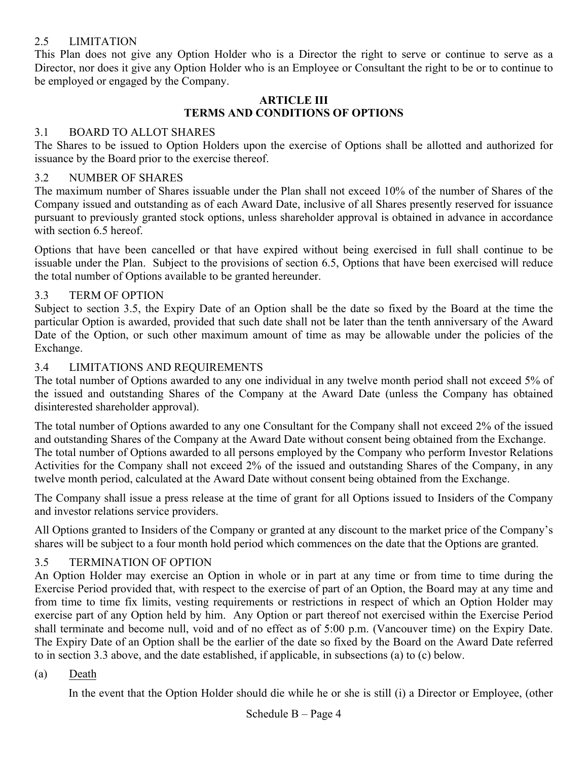# 2.5 LIMITATION

This Plan does not give any Option Holder who is a Director the right to serve or continue to serve as a Director, nor does it give any Option Holder who is an Employee or Consultant the right to be or to continue to be employed or engaged by the Company.

# **ARTICLE III TERMS AND CONDITIONS OF OPTIONS**

# 3.1 BOARD TO ALLOT SHARES

The Shares to be issued to Option Holders upon the exercise of Options shall be allotted and authorized for issuance by the Board prior to the exercise thereof.

# 3.2 NUMBER OF SHARES

The maximum number of Shares issuable under the Plan shall not exceed 10% of the number of Shares of the Company issued and outstanding as of each Award Date, inclusive of all Shares presently reserved for issuance pursuant to previously granted stock options, unless shareholder approval is obtained in advance in accordance with section 6.5 hereof.

Options that have been cancelled or that have expired without being exercised in full shall continue to be issuable under the Plan. Subject to the provisions of section 6.5, Options that have been exercised will reduce the total number of Options available to be granted hereunder.

# 3.3 TERM OF OPTION

Subject to section 3.5, the Expiry Date of an Option shall be the date so fixed by the Board at the time the particular Option is awarded, provided that such date shall not be later than the tenth anniversary of the Award Date of the Option, or such other maximum amount of time as may be allowable under the policies of the Exchange.

# 3.4 LIMITATIONS AND REQUIREMENTS

The total number of Options awarded to any one individual in any twelve month period shall not exceed 5% of the issued and outstanding Shares of the Company at the Award Date (unless the Company has obtained disinterested shareholder approval).

The total number of Options awarded to any one Consultant for the Company shall not exceed 2% of the issued and outstanding Shares of the Company at the Award Date without consent being obtained from the Exchange. The total number of Options awarded to all persons employed by the Company who perform Investor Relations Activities for the Company shall not exceed 2% of the issued and outstanding Shares of the Company, in any twelve month period, calculated at the Award Date without consent being obtained from the Exchange.

The Company shall issue a press release at the time of grant for all Options issued to Insiders of the Company and investor relations service providers.

All Options granted to Insiders of the Company or granted at any discount to the market price of the Company's shares will be subject to a four month hold period which commences on the date that the Options are granted.

# 3.5 TERMINATION OF OPTION

An Option Holder may exercise an Option in whole or in part at any time or from time to time during the Exercise Period provided that, with respect to the exercise of part of an Option, the Board may at any time and from time to time fix limits, vesting requirements or restrictions in respect of which an Option Holder may exercise part of any Option held by him. Any Option or part thereof not exercised within the Exercise Period shall terminate and become null, void and of no effect as of 5:00 p.m. (Vancouver time) on the Expiry Date. The Expiry Date of an Option shall be the earlier of the date so fixed by the Board on the Award Date referred to in section 3.3 above, and the date established, if applicable, in subsections (a) to (c) below.

# (a) Death

In the event that the Option Holder should die while he or she is still (i) a Director or Employee, (other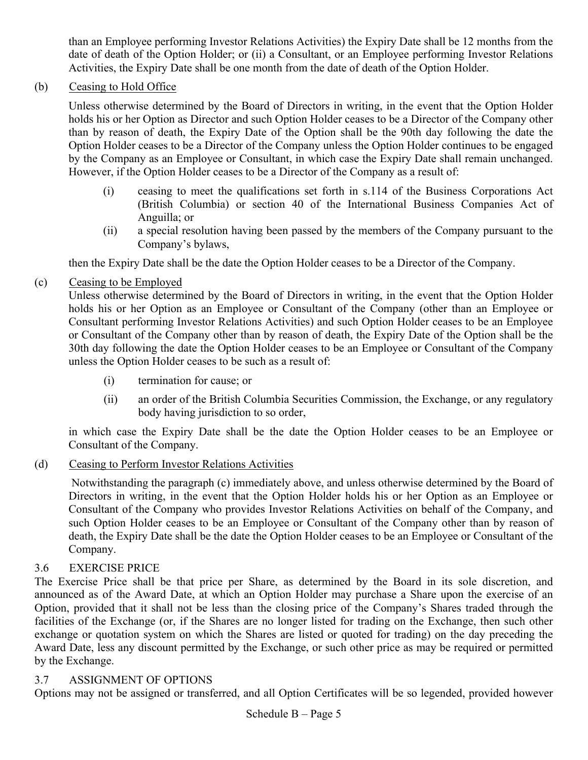than an Employee performing Investor Relations Activities) the Expiry Date shall be 12 months from the date of death of the Option Holder; or (ii) a Consultant, or an Employee performing Investor Relations Activities, the Expiry Date shall be one month from the date of death of the Option Holder.

(b) Ceasing to Hold Office

Unless otherwise determined by the Board of Directors in writing, in the event that the Option Holder holds his or her Option as Director and such Option Holder ceases to be a Director of the Company other than by reason of death, the Expiry Date of the Option shall be the 90th day following the date the Option Holder ceases to be a Director of the Company unless the Option Holder continues to be engaged by the Company as an Employee or Consultant, in which case the Expiry Date shall remain unchanged. However, if the Option Holder ceases to be a Director of the Company as a result of:

- (i) ceasing to meet the qualifications set forth in s.114 of the Business Corporations Act (British Columbia) or section 40 of the International Business Companies Act of Anguilla; or
- (ii) a special resolution having been passed by the members of the Company pursuant to the Company's bylaws,

then the Expiry Date shall be the date the Option Holder ceases to be a Director of the Company.

(c) Ceasing to be Employed

Unless otherwise determined by the Board of Directors in writing, in the event that the Option Holder holds his or her Option as an Employee or Consultant of the Company (other than an Employee or Consultant performing Investor Relations Activities) and such Option Holder ceases to be an Employee or Consultant of the Company other than by reason of death, the Expiry Date of the Option shall be the 30th day following the date the Option Holder ceases to be an Employee or Consultant of the Company unless the Option Holder ceases to be such as a result of:

- (i) termination for cause; or
- (ii) an order of the British Columbia Securities Commission, the Exchange, or any regulatory body having jurisdiction to so order,

in which case the Expiry Date shall be the date the Option Holder ceases to be an Employee or Consultant of the Company.

(d) Ceasing to Perform Investor Relations Activities

Notwithstanding the paragraph (c) immediately above, and unless otherwise determined by the Board of Directors in writing, in the event that the Option Holder holds his or her Option as an Employee or Consultant of the Company who provides Investor Relations Activities on behalf of the Company, and such Option Holder ceases to be an Employee or Consultant of the Company other than by reason of death, the Expiry Date shall be the date the Option Holder ceases to be an Employee or Consultant of the Company.

# 3.6 EXERCISE PRICE

The Exercise Price shall be that price per Share, as determined by the Board in its sole discretion, and announced as of the Award Date, at which an Option Holder may purchase a Share upon the exercise of an Option, provided that it shall not be less than the closing price of the Company's Shares traded through the facilities of the Exchange (or, if the Shares are no longer listed for trading on the Exchange, then such other exchange or quotation system on which the Shares are listed or quoted for trading) on the day preceding the Award Date, less any discount permitted by the Exchange, or such other price as may be required or permitted by the Exchange.

# 3.7 ASSIGNMENT OF OPTIONS

Options may not be assigned or transferred, and all Option Certificates will be so legended, provided however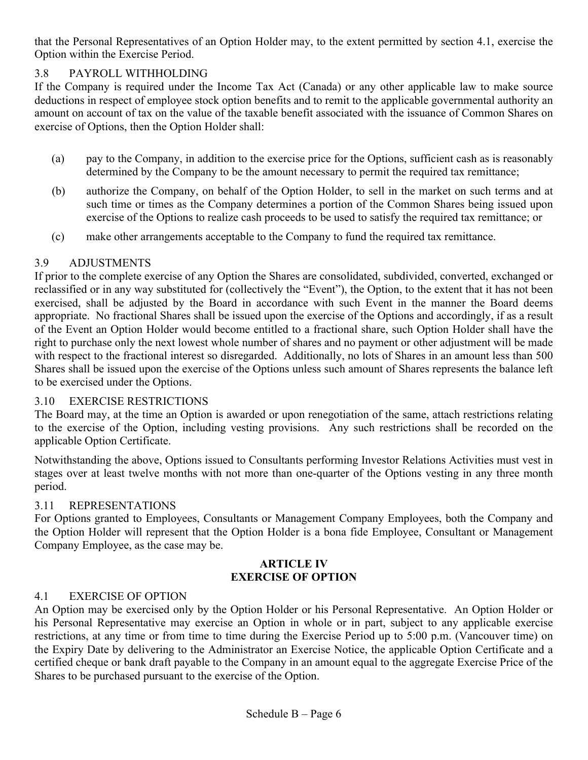that the Personal Representatives of an Option Holder may, to the extent permitted by section 4.1, exercise the Option within the Exercise Period.

# 3.8 PAYROLL WITHHOLDING

If the Company is required under the Income Tax Act (Canada) or any other applicable law to make source deductions in respect of employee stock option benefits and to remit to the applicable governmental authority an amount on account of tax on the value of the taxable benefit associated with the issuance of Common Shares on exercise of Options, then the Option Holder shall:

- (a) pay to the Company, in addition to the exercise price for the Options, sufficient cash as is reasonably determined by the Company to be the amount necessary to permit the required tax remittance;
- (b) authorize the Company, on behalf of the Option Holder, to sell in the market on such terms and at such time or times as the Company determines a portion of the Common Shares being issued upon exercise of the Options to realize cash proceeds to be used to satisfy the required tax remittance; or
- (c) make other arrangements acceptable to the Company to fund the required tax remittance.

# 3.9 ADJUSTMENTS

If prior to the complete exercise of any Option the Shares are consolidated, subdivided, converted, exchanged or reclassified or in any way substituted for (collectively the "Event"), the Option, to the extent that it has not been exercised, shall be adjusted by the Board in accordance with such Event in the manner the Board deems appropriate. No fractional Shares shall be issued upon the exercise of the Options and accordingly, if as a result of the Event an Option Holder would become entitled to a fractional share, such Option Holder shall have the right to purchase only the next lowest whole number of shares and no payment or other adjustment will be made with respect to the fractional interest so disregarded. Additionally, no lots of Shares in an amount less than 500 Shares shall be issued upon the exercise of the Options unless such amount of Shares represents the balance left to be exercised under the Options.

# 3.10 EXERCISE RESTRICTIONS

The Board may, at the time an Option is awarded or upon renegotiation of the same, attach restrictions relating to the exercise of the Option, including vesting provisions. Any such restrictions shall be recorded on the applicable Option Certificate.

Notwithstanding the above, Options issued to Consultants performing Investor Relations Activities must vest in stages over at least twelve months with not more than one-quarter of the Options vesting in any three month period.

# 3.11 REPRESENTATIONS

For Options granted to Employees, Consultants or Management Company Employees, both the Company and the Option Holder will represent that the Option Holder is a bona fide Employee, Consultant or Management Company Employee, as the case may be.

# **ARTICLE IV EXERCISE OF OPTION**

# 4.1 EXERCISE OF OPTION

An Option may be exercised only by the Option Holder or his Personal Representative. An Option Holder or his Personal Representative may exercise an Option in whole or in part, subject to any applicable exercise restrictions, at any time or from time to time during the Exercise Period up to 5:00 p.m. (Vancouver time) on the Expiry Date by delivering to the Administrator an Exercise Notice, the applicable Option Certificate and a certified cheque or bank draft payable to the Company in an amount equal to the aggregate Exercise Price of the Shares to be purchased pursuant to the exercise of the Option.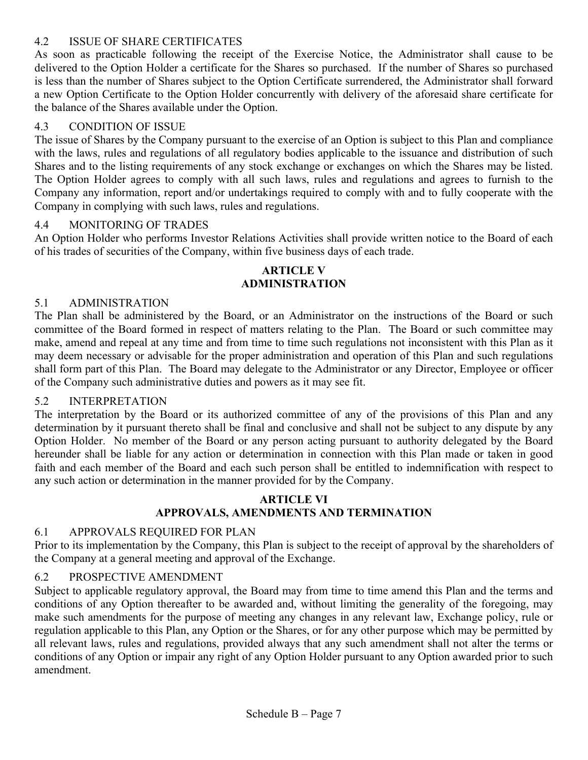# 4.2 ISSUE OF SHARE CERTIFICATES

As soon as practicable following the receipt of the Exercise Notice, the Administrator shall cause to be delivered to the Option Holder a certificate for the Shares so purchased. If the number of Shares so purchased is less than the number of Shares subject to the Option Certificate surrendered, the Administrator shall forward a new Option Certificate to the Option Holder concurrently with delivery of the aforesaid share certificate for the balance of the Shares available under the Option.

# 4.3 CONDITION OF ISSUE

The issue of Shares by the Company pursuant to the exercise of an Option is subject to this Plan and compliance with the laws, rules and regulations of all regulatory bodies applicable to the issuance and distribution of such Shares and to the listing requirements of any stock exchange or exchanges on which the Shares may be listed. The Option Holder agrees to comply with all such laws, rules and regulations and agrees to furnish to the Company any information, report and/or undertakings required to comply with and to fully cooperate with the Company in complying with such laws, rules and regulations.

# 4.4 MONITORING OF TRADES

An Option Holder who performs Investor Relations Activities shall provide written notice to the Board of each of his trades of securities of the Company, within five business days of each trade.

# **ARTICLE V ADMINISTRATION**

# 5.1 ADMINISTRATION

The Plan shall be administered by the Board, or an Administrator on the instructions of the Board or such committee of the Board formed in respect of matters relating to the Plan. The Board or such committee may make, amend and repeal at any time and from time to time such regulations not inconsistent with this Plan as it may deem necessary or advisable for the proper administration and operation of this Plan and such regulations shall form part of this Plan. The Board may delegate to the Administrator or any Director, Employee or officer of the Company such administrative duties and powers as it may see fit.

# 5.2 INTERPRETATION

The interpretation by the Board or its authorized committee of any of the provisions of this Plan and any determination by it pursuant thereto shall be final and conclusive and shall not be subject to any dispute by any Option Holder. No member of the Board or any person acting pursuant to authority delegated by the Board hereunder shall be liable for any action or determination in connection with this Plan made or taken in good faith and each member of the Board and each such person shall be entitled to indemnification with respect to any such action or determination in the manner provided for by the Company.

# **ARTICLE VI APPROVALS, AMENDMENTS AND TERMINATION**

# 6.1 APPROVALS REQUIRED FOR PLAN

Prior to its implementation by the Company, this Plan is subject to the receipt of approval by the shareholders of the Company at a general meeting and approval of the Exchange.

# 6.2 PROSPECTIVE AMENDMENT

Subject to applicable regulatory approval, the Board may from time to time amend this Plan and the terms and conditions of any Option thereafter to be awarded and, without limiting the generality of the foregoing, may make such amendments for the purpose of meeting any changes in any relevant law, Exchange policy, rule or regulation applicable to this Plan, any Option or the Shares, or for any other purpose which may be permitted by all relevant laws, rules and regulations, provided always that any such amendment shall not alter the terms or conditions of any Option or impair any right of any Option Holder pursuant to any Option awarded prior to such amendment.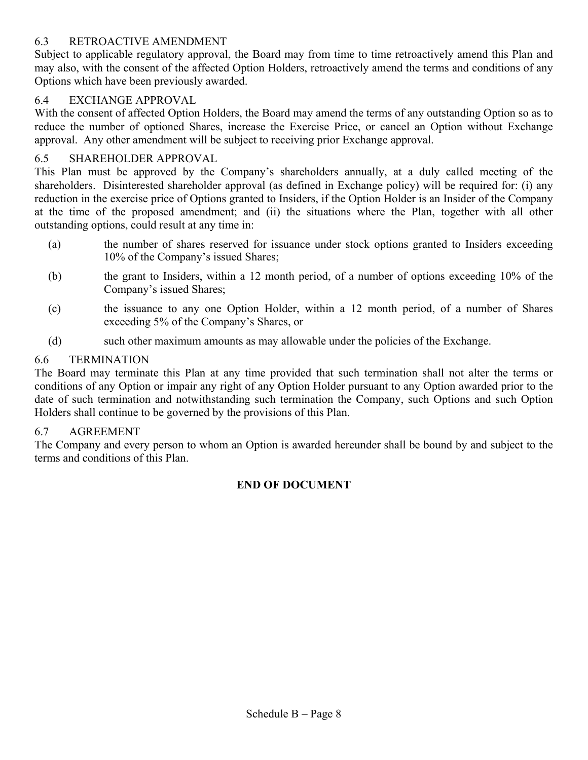# 6.3 RETROACTIVE AMENDMENT

Subject to applicable regulatory approval, the Board may from time to time retroactively amend this Plan and may also, with the consent of the affected Option Holders, retroactively amend the terms and conditions of any Options which have been previously awarded.

# 6.4 EXCHANGE APPROVAL

With the consent of affected Option Holders, the Board may amend the terms of any outstanding Option so as to reduce the number of optioned Shares, increase the Exercise Price, or cancel an Option without Exchange approval. Any other amendment will be subject to receiving prior Exchange approval.

# 6.5 SHAREHOLDER APPROVAL

This Plan must be approved by the Company's shareholders annually, at a duly called meeting of the shareholders. Disinterested shareholder approval (as defined in Exchange policy) will be required for: (i) any reduction in the exercise price of Options granted to Insiders, if the Option Holder is an Insider of the Company at the time of the proposed amendment; and (ii) the situations where the Plan, together with all other outstanding options, could result at any time in:

- (a) the number of shares reserved for issuance under stock options granted to Insiders exceeding 10% of the Company's issued Shares;
- (b) the grant to Insiders, within a 12 month period, of a number of options exceeding 10% of the Company's issued Shares;
- (c) the issuance to any one Option Holder, within a 12 month period, of a number of Shares exceeding 5% of the Company's Shares, or
- (d) such other maximum amounts as may allowable under the policies of the Exchange.

# 6.6 TERMINATION

The Board may terminate this Plan at any time provided that such termination shall not alter the terms or conditions of any Option or impair any right of any Option Holder pursuant to any Option awarded prior to the date of such termination and notwithstanding such termination the Company, such Options and such Option Holders shall continue to be governed by the provisions of this Plan.

# 6.7 AGREEMENT

The Company and every person to whom an Option is awarded hereunder shall be bound by and subject to the terms and conditions of this Plan.

# **END OF DOCUMENT**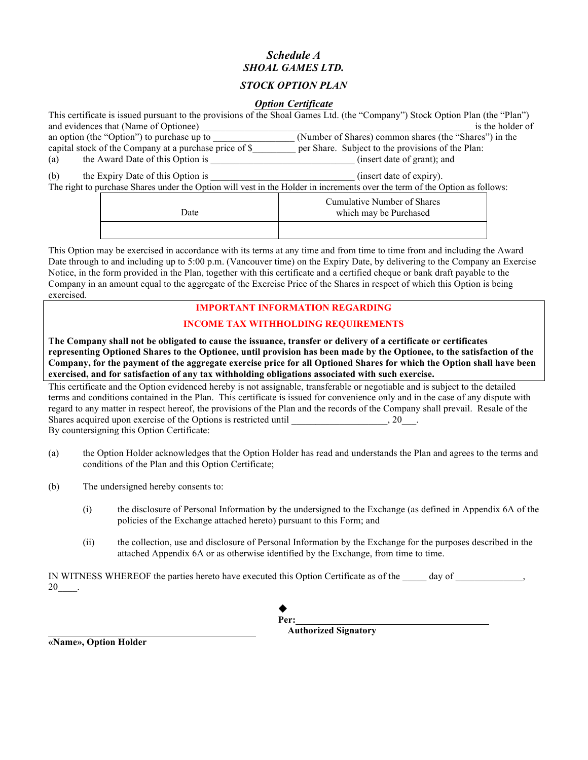# *Schedule A SHOAL GAMES LTD.*

# *STOCK OPTION PLAN*

# *Option Certificate*

| This certificate is issued pursuant to the provisions of the Shoal Games Ltd. (the "Company") Stock Option Plan (the "Plan") |                                                        |                                                                                                                                                         |  |  |  |  |
|------------------------------------------------------------------------------------------------------------------------------|--------------------------------------------------------|---------------------------------------------------------------------------------------------------------------------------------------------------------|--|--|--|--|
|                                                                                                                              | and evidences that (Name of Optionee)                  | is the holder of                                                                                                                                        |  |  |  |  |
|                                                                                                                              | an option (the "Option") to purchase up to             | (Number of Shares) common shares (the "Shares") in the                                                                                                  |  |  |  |  |
|                                                                                                                              | capital stock of the Company at a purchase price of \$ | per Share. Subject to the provisions of the Plan:                                                                                                       |  |  |  |  |
| (a)                                                                                                                          | the Award Date of this Option is                       | (insert date of grant); and                                                                                                                             |  |  |  |  |
| (b)                                                                                                                          | the Expiry Date of this Option is                      | (insert date of expiry).<br>The right to purchase Shares under the Option will vest in the Holder in increments over the term of the Option as follows: |  |  |  |  |
|                                                                                                                              | Date                                                   | <b>Cumulative Number of Shares</b><br>which may be Purchased                                                                                            |  |  |  |  |
|                                                                                                                              |                                                        |                                                                                                                                                         |  |  |  |  |

This Option may be exercised in accordance with its terms at any time and from time to time from and including the Award Date through to and including up to 5:00 p.m. (Vancouver time) on the Expiry Date, by delivering to the Company an Exercise Notice, in the form provided in the Plan, together with this certificate and a certified cheque or bank draft payable to the Company in an amount equal to the aggregate of the Exercise Price of the Shares in respect of which this Option is being exercised.

#### **IMPORTANT INFORMATION REGARDING**

# **INCOME TAX WITHHOLDING REQUIREMENTS**

**The Company shall not be obligated to cause the issuance, transfer or delivery of a certificate or certificates representing Optioned Shares to the Optionee, until provision has been made by the Optionee, to the satisfaction of the Company, for the payment of the aggregate exercise price for all Optioned Shares for which the Option shall have been exercised, and for satisfaction of any tax withholding obligations associated with such exercise.**

This certificate and the Option evidenced hereby is not assignable, transferable or negotiable and is subject to the detailed terms and conditions contained in the Plan. This certificate is issued for convenience only and in the case of any dispute with regard to any matter in respect hereof, the provisions of the Plan and the records of the Company shall prevail. Resale of the Shares acquired upon exercise of the Options is restricted until  $\qquad \qquad$  20. By countersigning this Option Certificate:

- (a) the Option Holder acknowledges that the Option Holder has read and understands the Plan and agrees to the terms and conditions of the Plan and this Option Certificate;
- (b) The undersigned hereby consents to:
	- (i) the disclosure of Personal Information by the undersigned to the Exchange (as defined in Appendix 6A of the policies of the Exchange attached hereto) pursuant to this Form; and
	- (ii) the collection, use and disclosure of Personal Information by the Exchange for the purposes described in the attached Appendix 6A or as otherwise identified by the Exchange, from time to time.

IN WITNESS WHEREOF the parties hereto have executed this Option Certificate as of the day of  $\qquad \qquad$ , 20\_\_\_\_.



 **Authorized Signatory**

**«Name», Option Holder**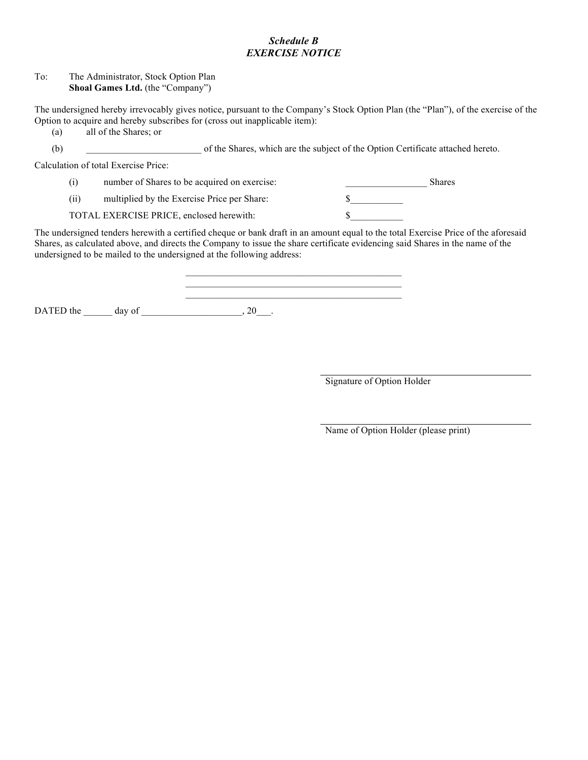# *Schedule B EXERCISE NOTICE*

#### To: The Administrator, Stock Option Plan **Shoal Games Ltd.** (the "Company")

The undersigned hereby irrevocably gives notice, pursuant to the Company's Stock Option Plan (the "Plan"), of the exercise of the Option to acquire and hereby subscribes for (cross out inapplicable item):

(a) all of the Shares; or

(b) \_\_\_\_\_\_\_\_\_\_\_\_\_\_\_\_\_\_\_\_\_\_\_\_ of the Shares, which are the subject of the Option Certificate attached hereto.

Calculation of total Exercise Price:

| ( <i>i</i> ) | number of Shares to be acquired on exercise: | <b>Shares</b> |
|--------------|----------------------------------------------|---------------|
|              |                                              |               |

(ii) multiplied by the Exercise Price per Share:  $\$\$ 

TOTAL EXERCISE PRICE, enclosed herewith:  $\$ 

The undersigned tenders herewith a certified cheque or bank draft in an amount equal to the total Exercise Price of the aforesaid Shares, as calculated above, and directs the Company to issue the share certificate evidencing said Shares in the name of the undersigned to be mailed to the undersigned at the following address:

 $\mathcal{L}_\text{max}$  and  $\mathcal{L}_\text{max}$  and  $\mathcal{L}_\text{max}$  and  $\mathcal{L}_\text{max}$  and  $\mathcal{L}_\text{max}$ 

\_\_\_\_\_\_\_\_\_\_\_\_\_\_\_\_\_\_\_\_\_\_\_\_\_\_\_\_\_\_\_\_\_\_\_\_\_\_\_\_\_\_\_\_\_

DATED the  $\rule{1em}{0.15mm}$  day of  $\rule{1.15mm}{0.15mm}$ , 20.

Signature of Option Holder

Name of Option Holder (please print)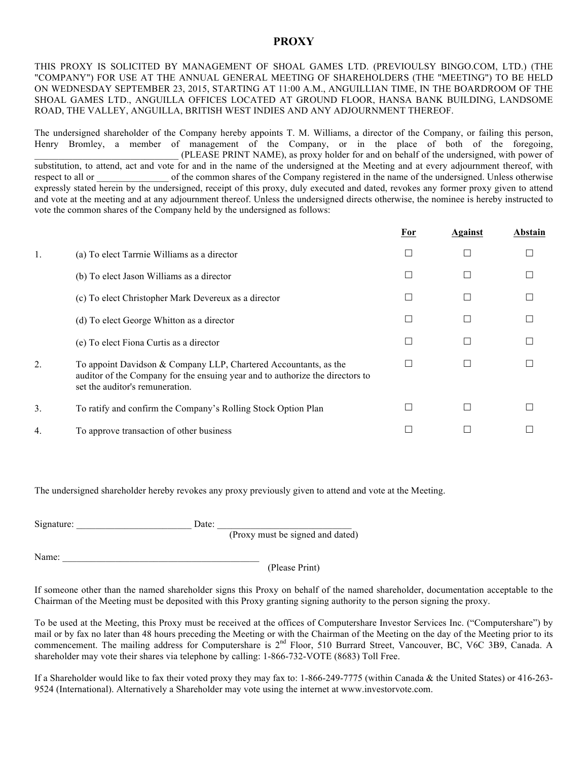# **PROXY**

THIS PROXY IS SOLICITED BY MANAGEMENT OF SHOAL GAMES LTD. (PREVIOULSY BINGO.COM, LTD.) (THE "COMPANY") FOR USE AT THE ANNUAL GENERAL MEETING OF SHAREHOLDERS (THE "MEETING") TO BE HELD ON WEDNESDAY SEPTEMBER 23, 2015, STARTING AT 11:00 A.M., ANGUILLIAN TIME, IN THE BOARDROOM OF THE SHOAL GAMES LTD., ANGUILLA OFFICES LOCATED AT GROUND FLOOR, HANSA BANK BUILDING, LANDSOME ROAD, THE VALLEY, ANGUILLA, BRITISH WEST INDIES AND ANY ADJOURNMENT THEREOF.

The undersigned shareholder of the Company hereby appoints T. M. Williams, a director of the Company, or failing this person, Henry Bromley, a member of management of the Company, or in the place of both of the foregoing, \_\_\_\_\_\_\_\_\_\_\_\_\_\_\_\_\_\_\_\_\_\_\_\_\_\_\_\_\_\_ (PLEASE PRINT NAME), as proxy holder for and on behalf of the undersigned, with power of substitution, to attend, act and vote for and in the name of the undersigned at the Meeting and at every adjournment thereof, with respect to all or of the common shares of the Company registered in the name of the undersigned. Unless otherwise expressly stated herein by the undersigned, receipt of this proxy, duly executed and dated, revokes any former proxy given to attend and vote at the meeting and at any adjournment thereof. Unless the undersigned directs otherwise, the nominee is hereby instructed to vote the common shares of the Company held by the undersigned as follows:

|    |                                                                                                                                                                                      | For                      | Against | Abstain |
|----|--------------------------------------------------------------------------------------------------------------------------------------------------------------------------------------|--------------------------|---------|---------|
| 1. | (a) To elect Tarrnie Williams as a director                                                                                                                                          |                          |         |         |
|    | (b) To elect Jason Williams as a director                                                                                                                                            | ΙI                       |         |         |
|    | (c) To elect Christopher Mark Devereux as a director                                                                                                                                 | П                        |         |         |
|    | (d) To elect George Whitton as a director                                                                                                                                            | П                        |         |         |
|    | (e) To elect Fiona Curtis as a director                                                                                                                                              | O                        |         |         |
| 2. | To appoint Davidson & Company LLP, Chartered Accountants, as the<br>auditor of the Company for the ensuing year and to authorize the directors to<br>set the auditor's remuneration. | $\overline{\phantom{a}}$ |         |         |
| 3. | To ratify and confirm the Company's Rolling Stock Option Plan                                                                                                                        |                          |         |         |
| 4. | To approve transaction of other business                                                                                                                                             |                          |         |         |
|    |                                                                                                                                                                                      |                          |         |         |

The undersigned shareholder hereby revokes any proxy previously given to attend and vote at the Meeting.

| Signature: |  |                            |  |  |  |
|------------|--|----------------------------|--|--|--|
|            |  | the company of the company |  |  |  |

(Proxy must be signed and dated)

Name:

(Please Print)

If someone other than the named shareholder signs this Proxy on behalf of the named shareholder, documentation acceptable to the Chairman of the Meeting must be deposited with this Proxy granting signing authority to the person signing the proxy.

To be used at the Meeting, this Proxy must be received at the offices of Computershare Investor Services Inc. ("Computershare") by mail or by fax no later than 48 hours preceding the Meeting or with the Chairman of the Meeting on the day of the Meeting prior to its commencement. The mailing address for Computershare is 2<sup>nd</sup> Floor, 510 Burrard Street, Vancouver, BC, V6C 3B9, Canada. A shareholder may vote their shares via telephone by calling: 1-866-732-VOTE (8683) Toll Free.

If a Shareholder would like to fax their voted proxy they may fax to: 1-866-249-7775 (within Canada & the United States) or 416-263- 9524 (International). Alternatively a Shareholder may vote using the internet at www.investorvote.com.